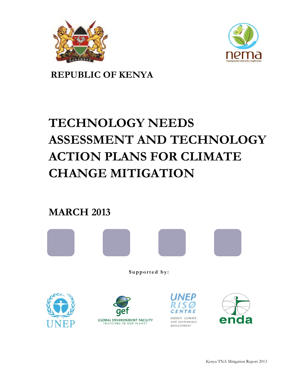



**REPUBLIC OF KENYA**

# **TECHNOLOGY NEEDS ASSESSMENT AND TECHNOLOGY ACTION PLANS FOR CLIMATE CHANGE MITIGATION**

**MARCH 2013**



**Supported by:**







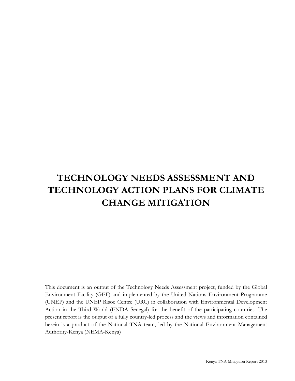# **TECHNOLOGY NEEDS ASSESSMENT AND TECHNOLOGY ACTION PLANS FOR CLIMATE CHANGE MITIGATION**

This document is an output of the Technology Needs Assessment project, funded by the Global Environment Facility (GEF) and implemented by the United Nations Environment Programme (UNEP) and the UNEP Risoe Centre (URC) in collaboration with Environmental Development Action in the Third World (ENDA Senegal) for the benefit of the participating countries. The present report is the output of a fully country-led process and the views and information contained herein is a product of the National TNA team, led by the National Environment Management Authority-Kenya (NEMA-Kenya)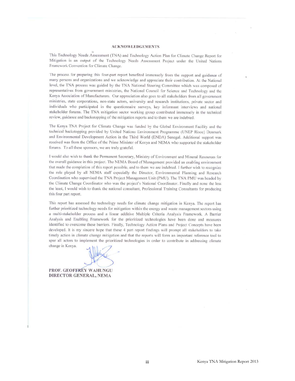#### **ACKNOWLEDGEMENTS**

This Technology Needs Assessment (TNA) and Technology Action Plan for Climate Change Report for Mitigation is an output of the Technology Needs Assessment Project under the United Nations Framework Convention for Climate Change.

The process for preparing this four-part report benefited immensely from the support and guidance of many persons and organizations and we acknowledge and appreciate their contribution. At the National level, the TNA process was guided by the TNA National Steering Committee which was composed of representatives from government ministries, the National Council for Science and Technology and the Kenya Association of Manufacturers. Our appreciation also goes to all stakeholders from all government ministries, state corporations, non-state actors, university and research institutions, private sector and individuals who participated in the questionnaire surveys, key informant interviews and national stakeholder forums. The TNA mitigation sector working group contributed immensely in the technical review, guidance and backstopping of the mitigation reports and to them we are indebted.

The Kenya TNA Project for Climate Change was funded by the Global Environment Facility and the technical backstopping provided by United Nations Environment Programme (UNEP Risoe) Denmark and Environmental Development Action in the Third World (ENDA) Senegal. Additional support was received was from the Office of the Prime Minister of Kenya and NEMA who supported the stakeholder forums. To all these sponsors, we are truly grateful.

I would also wish to thank the Permanent Secretary, Ministry of Environment and Mineral Resources for the overall guidance in this project. The NEMA Board of Management provided an enabling environment that made the completion of this report possible, and to them we are indebted. I further wish to recognize the role played by all NEMA staff especially the Director, Environmental Planning and Research Coordination who supervised the TNA Project Management Unit (PMU). The TNA PMU was headed by the Climate Change Coordinator who was the project's National Coordinator. Finally and none the less the least, I would wish to thank the national consultant, Professional Training Consultants for producing this four part report.

This report has assessed the technology needs for climate change mitigation in Kenya. The report has further prioritized technology needs for mitigation within the energy and waste management sectors using a multi-stakeholder process and a linear additive Multiple Criteria Analysis Framework. A Barrier Analysis and Enabling Framework for the prioritized technologies have been done and measures identified to overcome these barriers. Finally, Technology Action Plans and Project Concepts have been developed. It is my sincere hope that these 4 part report findings will prompt all stakeholders to take timely action in climate change mitigation and that the reports will form an important reference tool to spur all actors to implement the prioritized technologies in order to contribute in addressing climate change in Kenya.

PROF. GEOFFREY WAHUNGU DIRECTOR GENERAL, NEMA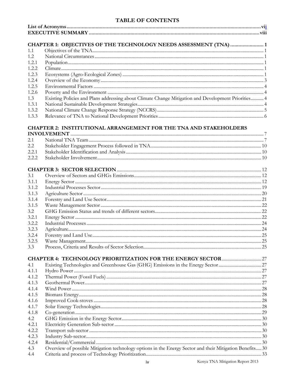# TABLE OF CONTENTS

|              | CHAPTER 1: OBJECTIVES OF THE TECHNOLOGY NEEDS ASSESSMENT (TNA)  1                                        |  |
|--------------|----------------------------------------------------------------------------------------------------------|--|
| 1.1          |                                                                                                          |  |
| 1.2          |                                                                                                          |  |
| 1.2.1        |                                                                                                          |  |
| 1.2.2        |                                                                                                          |  |
| 1.2.3        |                                                                                                          |  |
| 1.2.4        |                                                                                                          |  |
| 1.2.5        |                                                                                                          |  |
| 1.2.6        |                                                                                                          |  |
| 1.3          | Existing Policies and Plans addressing about Climate Change Mitigation and Development Priorities 4      |  |
| 1.3.1        |                                                                                                          |  |
| 1.3.2        |                                                                                                          |  |
| 1.3.3        |                                                                                                          |  |
|              | <b>CHAPTER 2: INSTITUTIONAL ARRANGEMENT FOR THE TNA AND STAKEHOLDERS</b>                                 |  |
| 2.1          |                                                                                                          |  |
| 2.2          |                                                                                                          |  |
| 2.2.1        |                                                                                                          |  |
| 2.2.2        |                                                                                                          |  |
|              |                                                                                                          |  |
| 3.1          |                                                                                                          |  |
| 3.1.1        |                                                                                                          |  |
| 3.1.2        |                                                                                                          |  |
| 3.1.3        |                                                                                                          |  |
| 3.1.4        |                                                                                                          |  |
| 3.1.5        |                                                                                                          |  |
| 3.2          |                                                                                                          |  |
| 3.2.1        |                                                                                                          |  |
| 3.2.2        |                                                                                                          |  |
| 3.2.3        |                                                                                                          |  |
| 3.2.4        |                                                                                                          |  |
| 3.2.5        |                                                                                                          |  |
| 3.3          |                                                                                                          |  |
|              |                                                                                                          |  |
| 4.1          |                                                                                                          |  |
| 4.1.1        |                                                                                                          |  |
| 4.1.2        |                                                                                                          |  |
| 4.1.3        |                                                                                                          |  |
| 4.1.4        |                                                                                                          |  |
| 4.1.5        |                                                                                                          |  |
| 4.1.6        |                                                                                                          |  |
| 4.1.7        |                                                                                                          |  |
| 4.1.8        |                                                                                                          |  |
| 4.2          |                                                                                                          |  |
| 4.2.1        |                                                                                                          |  |
| 4.2.2        |                                                                                                          |  |
| 4.2.3        |                                                                                                          |  |
| 4.2.4<br>4.3 |                                                                                                          |  |
| 4.4          | Overview of possible Mitigation technology options in the Energy Sector and their Mitigation Benefits 30 |  |
|              |                                                                                                          |  |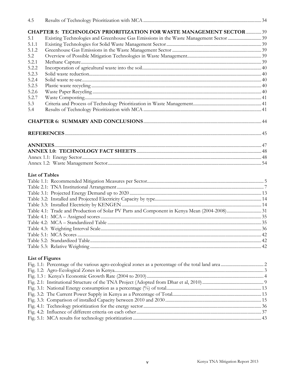| 4.5   |                                                                                      |  |
|-------|--------------------------------------------------------------------------------------|--|
|       | CHAPTER 5: TECHNOLOGY PRIORITIZATION FOR WASTE MANAGEMENT SECTOR  39                 |  |
| 5.1   | Existing Technologies and Greenhouse Gas Emissions in the Waste Management Sector 39 |  |
| 5.1.1 |                                                                                      |  |
| 5.1.2 |                                                                                      |  |
| 5.2   |                                                                                      |  |
| 5.2.1 |                                                                                      |  |
| 5.2.2 |                                                                                      |  |
| 5.2.3 |                                                                                      |  |
| 5.2.4 |                                                                                      |  |
| 5.2.5 |                                                                                      |  |
| 5.2.6 |                                                                                      |  |
| 5.2.7 |                                                                                      |  |
| 5.3   |                                                                                      |  |
| 5.4   |                                                                                      |  |
|       |                                                                                      |  |
|       |                                                                                      |  |
|       |                                                                                      |  |
|       |                                                                                      |  |
|       |                                                                                      |  |
|       |                                                                                      |  |
|       | <b>List of Tables</b>                                                                |  |
|       |                                                                                      |  |
|       |                                                                                      |  |
|       |                                                                                      |  |
|       |                                                                                      |  |
|       |                                                                                      |  |
|       |                                                                                      |  |
|       |                                                                                      |  |
|       |                                                                                      |  |
|       |                                                                                      |  |
|       |                                                                                      |  |
|       |                                                                                      |  |
|       |                                                                                      |  |
|       | <b>List of Figures</b>                                                               |  |
|       |                                                                                      |  |
|       |                                                                                      |  |
|       |                                                                                      |  |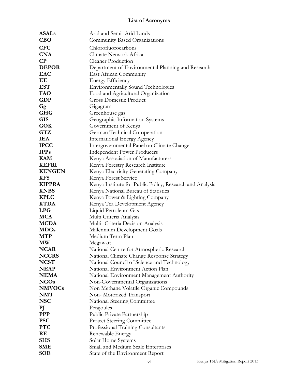# <span id="page-5-0"></span>**List of Acronyms**

| <b>ASALs</b>           | Arid and Semi-Arid Lands                                 |  |  |  |
|------------------------|----------------------------------------------------------|--|--|--|
| CBO                    | Community Based Organizations                            |  |  |  |
| <b>CFC</b>             | Chlorofluorocarbons                                      |  |  |  |
| <b>CNA</b>             | Climate Network Africa                                   |  |  |  |
| $\bf CP$               | <b>Cleaner Production</b>                                |  |  |  |
| <b>DEPOR</b>           | Department of Environmental Planning and Research        |  |  |  |
| <b>EAC</b>             | East African Community                                   |  |  |  |
| EЕ                     | <b>Energy Efficiency</b>                                 |  |  |  |
| <b>EST</b>             | <b>Environmentally Sound Technologies</b>                |  |  |  |
| <b>FAO</b>             | Food and Agricultural Organization                       |  |  |  |
| <b>GDP</b>             | <b>Gross Domestic Product</b>                            |  |  |  |
| Gg                     | Gigagram                                                 |  |  |  |
| <b>GHG</b>             | Greenhouse gas                                           |  |  |  |
| <b>GIS</b>             | Geographic Information Systems                           |  |  |  |
| <b>GOK</b>             | Government of Kenya                                      |  |  |  |
| GTZ                    | German Technical Co-operation                            |  |  |  |
| <b>IEA</b>             | <b>International Energy Agency</b>                       |  |  |  |
| <b>IPCC</b>            | Intergovernmental Panel on Climate Change                |  |  |  |
| <b>IPPs</b>            | <b>Independent Power Producers</b>                       |  |  |  |
| <b>KAM</b>             | Kenya Association of Manufacturers                       |  |  |  |
| <b>KEFRI</b>           | Kenya Forestry Research Institute                        |  |  |  |
| <b>KENGEN</b>          | Kenya Electricity Generating Company                     |  |  |  |
| <b>KFS</b>             | Kenya Forest Service                                     |  |  |  |
| <b>KIPPRA</b>          | Kenya Institute for Public Policy, Research and Analysis |  |  |  |
| <b>KNBS</b>            | Kenya National Bureau of Statistics                      |  |  |  |
| <b>KPLC</b>            | Kenya Power & Lighting Company                           |  |  |  |
| <b>KTDA</b>            | Kenya Tea Development Agency                             |  |  |  |
| <b>LPG</b>             | Liquid Petroleum Gas                                     |  |  |  |
| <b>MCA</b>             | Multi Criteria Analysis                                  |  |  |  |
| <b>MCDA</b>            | Multi- Criteria Decision Analysis                        |  |  |  |
| <b>MDGs</b>            | Millennium Development Goals                             |  |  |  |
| MTP                    | Medium Term Plan                                         |  |  |  |
| $\mathbf{M}\mathbf{W}$ | Megawatt                                                 |  |  |  |
| <b>NCAR</b>            | National Centre for Atmospheric Research                 |  |  |  |
| <b>NCCRS</b>           | National Climate Change Response Strategy                |  |  |  |
| <b>NCST</b>            | National Council of Science and Technology               |  |  |  |
| <b>NEAP</b>            | National Environment Action Plan                         |  |  |  |
| <b>NEMA</b>            | National Environment Management Authority                |  |  |  |
| <b>NGOs</b>            | Non-Governmental Organizations                           |  |  |  |
| <b>NMVOCs</b>          | Non Methane Volatile Organic Compounds                   |  |  |  |
| <b>NMT</b>             | Non-Motorized Transport                                  |  |  |  |
| <b>NSC</b>             | <b>National Steering Committee</b>                       |  |  |  |
| РJ                     | Petajoules                                               |  |  |  |
| <b>PPP</b>             | Public Private Partnership                               |  |  |  |
| <b>PSC</b>             | <b>Project Steering Committee</b>                        |  |  |  |
| <b>PTC</b>             | Professional Training Consultants                        |  |  |  |
| RE                     | Renewable Energy                                         |  |  |  |
| <b>SHS</b>             | Solar Home Systems                                       |  |  |  |
| <b>SME</b>             | Small and Medium Scale Enterprises                       |  |  |  |
| SOE                    | State of the Environment Report                          |  |  |  |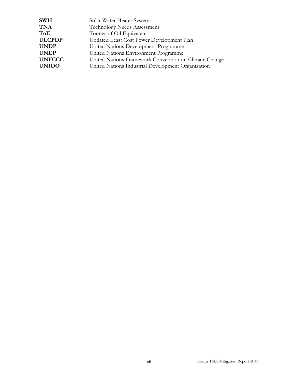| <b>SWH</b>    | Solar Water Heater Systems                            |
|---------------|-------------------------------------------------------|
| <b>TNA</b>    | Technology Needs Assessment                           |
| ToE           | Tonnes of Oil Equivalent                              |
| <b>ULCPDP</b> | Updated Least Cost Power Development Plan             |
| <b>UNDP</b>   | United Nations Development Programme                  |
| <b>UNEP</b>   | United Nations Environment Programme                  |
| <b>UNFCCC</b> | United Nations Framework Convention on Climate Change |
| <b>UNIDO</b>  | United Nations Industrial Development Organization    |
|               |                                                       |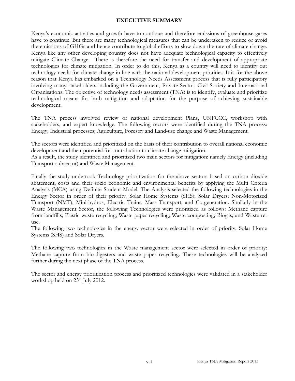#### <span id="page-7-0"></span>**EXECUTIVE SUMMARY**

Kenya's economic activities and growth have to continue and therefore emissions of greenhouse gases have to continue. But there are many technological measures that can be undertaken to reduce or avoid the emissions of GHGs and hence contribute to global efforts to slow down the rate of climate change. Kenya like any other developing country does not have adequate technological capacity to effectively mitigate Climate Change. There is therefore the need for transfer and development of appropriate technologies for climate mitigation. In order to do this, Kenya as a country will need to identify out technology needs for climate change in line with the national development priorities. It is for the above reason that Kenya has embarked on a Technology Needs Assessment process that is fully participatory involving many stakeholders including the Government, Private Sector, Civil Society and International Organisations. The objective of technology needs assessment (TNA) is to identify, evaluate and prioritize technological means for both mitigation and adaptation for the purpose of achieving sustainable development.

The TNA process involved review of national development Plans, UNFCCC, workshop with stakeholders, and expert knowledge. The following sectors were identified during the TNA process: Energy, Industrial processes; Agriculture, Forestry and Land-use change and Waste Management.

The sectors were identified and prioritized on the basis of their contribution to overall national economic development and their potential for contribution to climate change mitigation.

As a result, the study identified and prioritized two main sectors for mitigation: namely Energy (including Transport-subsector) and Waste Management.

Finally the study undertook Technology prioritization for the above sectors based on carbon dioxide abatement, costs and their socio economic and environmental benefits by applying the Multi Criteria Analysis (MCA) using Definite Student Model. The Analysis selected the following technologies in the Energy Sector in order of their priority. Solar Home Systems (SHS); Solar Dryers; Non-Motorized Transport (NMT), Mini-hydros, Electric Trains; Mass Transport; and Co-generation. Similarly in the Waste Management Sector, the following Technologies were prioritized as follows: Methane capture from landfills; Plastic waste recycling; Waste paper recycling; Waste composting; Biogas; and Waste reuse.

The following two technologies in the energy sector were selected in order of priority: Solar Home Systems (SHS) and Solar Dryers.

The following two technologies in the Waste management sector were selected in order of priority: Methane capture from bio-digesters and waste paper recycling. These technologies will be analyzed further during the next phase of the TNA process.

The sector and energy prioritization process and prioritized technologies were validated in a stakeholder workshop held on  $25<sup>th</sup>$  July 2012.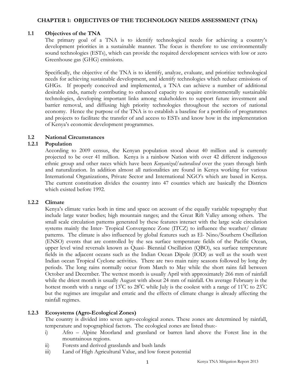#### **CHAPTER 1: OBJECTIVES OF THE TECHNOLOGY NEEDS ASSESSMENT (TNA)**

#### **1.1 Objectives of the TNA**

<span id="page-8-1"></span><span id="page-8-0"></span>The primary goal of a TNA is to identify technological needs for achieving a country's development priorities in a sustainable manner. The focus is therefore to use environmentally sound technologies (ESTs), which can provide the required development services with low or zero Greenhouse gas (GHG) emissions.

Specifically, the objective of the TNA is to identify, analyze, evaluate, and prioritize technological needs for achieving sustainable development, and identify technologies which reduce emissions of GHGs. If properly conceived and implemented, a TNA can achieve a number of additional desirable ends, namely contributing to enhanced capacity to acquire environmentally sustainable technologies, developing important links among stakeholders to support future investment and barrier removal, and diffusing high priority technologies throughout the sectors of national economy. Hence the purpose of the TNA is to establish a baseline for a portfolio of programmes and projects to facilitate the transfer of and access to ESTs and know how in the implementation of Kenya's economic development programmes.

#### **1.2 National Circumstances**

#### **1.2.1 Population**

<span id="page-8-3"></span><span id="page-8-2"></span>According to 2009 census, the Kenyan population stood about 40 million and is currently projected to be over 41 million. Kenya is a rainbow Nation with over 42 different indigenous ethnic group and other races which have been *Kenyanized/naturalised* over the years through birth and naturalization. In addition almost all nationalities are found in Kenya working for various International Organizations, Private Sector and International NGO's which are based in Kenya. The current constitution divides the country into 47 counties which are basically the Districts which existed before 1992.

#### **1.2.2 Climate**

<span id="page-8-4"></span>Kenya's climate varies both in time and space on account of the equally variable topography that include large water bodies; high mountain ranges; and the Great Rift Valley among others. The small scale circulation patterns generated by these features interact with the large scale circulation systems mainly the Inter- Tropical Convergence Zone (ITCZ) to influence the weather/ climate patterns. The climate is also influenced by global features such as El- Nino/Southern Oscillation (ENSO) events that are controlled by the sea surface temperature fields of the Pacific Ocean, upper level wind reversals known as Quasi- Biennial Oscillation (QBO), sea surface temperature fields in the adjacent oceans such as the Indian Ocean Dipole (IOD) as well as the south west Indian ocean Tropical Cyclone activities. There are two main rainy seasons followed by long dry periods. The long rains normally occur from March to May while the short rains fall between October and December. The wettest month is usually April with approximately 266 mm of rainfall while the driest month is usually August with about 24 mm of rainfall. On average February is the hottest month with a range of 13<sup>0</sup>C to 28<sup>0</sup>C while July is the coolest with a range of 11<sup>0</sup>C to 23<sup>0</sup>C but the regimes are irregular and erratic and the effects of climate change is already affecting the rainfall regimes.

#### **1.2.3 Ecosystems (Agro-Ecological Zones)**

<span id="page-8-5"></span>The country is divided into seven agro-ecological zones. These zones are determined by rainfall, temperature and topographical factors. The ecological zones are listed thus:-

- i) Afro Alpine Moorland and grassland or barren land above the Forest line in the mountainous regions.
- ii) Forests and derived grasslands and bush lands
- iii) Land of High Agricultural Value, and low forest potential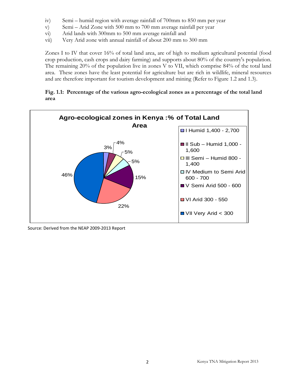- iv) Semi humid region with average rainfall of 700mm to 850 mm per year
- v) Semi Arid Zone with 500 mm to 700 mm average rainfall per year
- vi) Arid lands with 300mm to 500 mm average rainfall and
- vii) Very Arid zone with annual rainfall of about 200 mm to 300 mm

Zones I to IV that cover 16% of total land area, are of high to medium agricultural potential (food crop production, cash crops and dairy farming) and supports about 80% of the country's population. The remaining 20% of the population live in zones V to VII, which comprise 84% of the total land area. These zones have the least potential for agriculture but are rich in wildlife, mineral resources and are therefore important for tourism development and mining (Refer to Figure 1.2 and 1.3).

#### <span id="page-9-0"></span>**Fig. 1.1: Percentage of the various agro-ecological zones as a percentage of the total land area**



Source: Derived from the NEAP 2009-2013 Report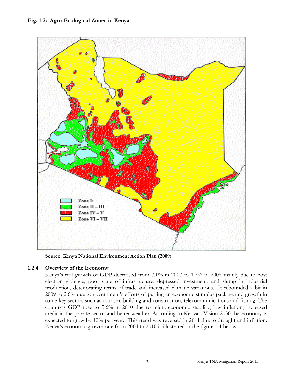<span id="page-10-1"></span>

**Source: Kenya National Environment Action Plan (2009)** 

# **1.2.4 Overview of the Economy**

<span id="page-10-0"></span>Kenya's real growth of GDP decreased from 7.1% in 2007 to 1.7% in 2008 mainly due to post election violence, poor state of infrastructure, depressed investment, and slump in industrial production, deteriorating terms of trade and increased climatic variations. It rebounded a bit in 2009 to 2.6% due to government's efforts of putting an economic stimulus package and growth in some key sectors such as tourism, building and construction, telecommunications and fishing. The country's GDP rose to 5.6% in 2010 due to micro-economic stability, low inflation, increased credit in the private sector and better weather. According to Kenya's Vision 2030 the economy is expected to grow by 10% per year. This trend was reversed in 2011 due to drought and inflation. Kenya's economic growth rate from 2004 to 2010 is illustrated in the figure 1.4 below.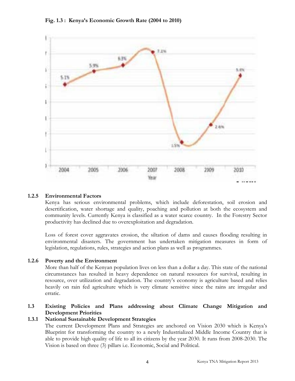

#### <span id="page-11-4"></span>**Fig. 1.3 : Kenya's Economic Growth Rate (2004 to 2010)**

#### **1.2.5 Environmental Factors**

<span id="page-11-0"></span>Kenya has serious environmental problems, which include deforestation, soil erosion and desertification, water shortage and quality, poaching and pollution at both the ecosystem and community levels. Currently Kenya is classified as a water scarce country. In the Forestry Sector productivity has declined due to overexploitation and degradation.

Loss of forest cover aggravates erosion, the siltation of dams and causes flooding resulting in environmental disasters. The government has undertaken mitigation measures in form of legislation, regulations, rules, strategies and action plans as well as programmes.

#### **1.2.6 Poverty and the Environment**

<span id="page-11-1"></span>More than half of the Kenyan population lives on less than a dollar a day. This state of the national circumstances has resulted in heavy dependence on natural resources for survival, resulting in resource, over utilization and degradation. The country's economy is agriculture based and relies heavily on rain fed agriculture which is very climate sensitive since the rains are irregular and erratic.

#### **1.3 Existing Policies and Plans addressing about Climate Change Mitigation and Development Priorities**

#### **1.3.1 National Sustainable Development Strategies**

<span id="page-11-3"></span><span id="page-11-2"></span>The current Development Plans and Strategies are anchored on Vision 2030 which is Kenya's Blueprint for transforming the country to a newly Industrialized Middle Income Country that is able to provide high quality of life to all its citizens by the year 2030. It runs from 2008-2030. The Vision is based on three (3) pillars i.e. Economic, Social and Political.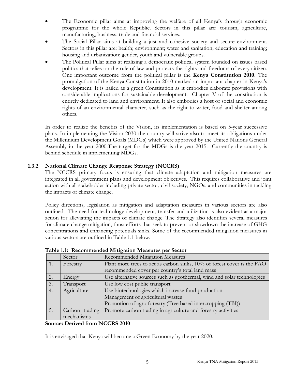- The Economic pillar aims at improving the welfare of all Kenya's through economic programme for the whole Republic. Sectors in this pillar are: tourism, agriculture, manufacturing, business, trade and financial services.
- The Social Pillar aims at building a just and cohesive society and secure environment. Sectors in this pillar are: health; environment; water and sanitation; education and training; housing and urbanization; gender, youth and vulnerable groups.
- The Political Pillar aims at realizing a democratic political system founded on issues based politics that relies on the rule of law and protects the rights and freedoms of every citizen. One important outcome from the political pillar is the **Kenya Constitution 2010.** The promulgation of the Kenya Constitution in 2010 marked an important chapter in Kenya's development. It is hailed as a green Constitution as it embodies elaborate provisions with considerable implications for sustainable development. Chapter V of the constitution is entirely dedicated to land and environment. It also embodies a host of social and economic rights of an environmental character, such as the right to water, food and shelter among others.

In order to realize the benefits of the Vision, its implementation is based on 5-year successive plans. In implementing the Vision 2030 the country will strive also to meet its obligations under the Millennium Development Goals (MDGs) which were approved by the United Nations General Assembly in the year 2000.The target for the MDGs is the year 2015. Currently the country is behind schedule in implementing MDGs.

# **1.3.2 National Climate Change Response Strategy (NCCRS)**

<span id="page-12-0"></span>The NCCRS primary focus is ensuring that climate adaptation and mitigation measures are integrated in all government plans and development objectives. This requires collaborative and joint action with all stakeholder including private sector, civil society, NGOs, and communities in tackling the impacts of climate change.

Policy directions, legislation as mitigation and adaptation measures in various sectors are also outlined. The need for technology development, transfer and utilization is also evident as a major action for alleviating the impacts of climate change. The Strategy also identifies several measures for climate change mitigation, thus: efforts that seek to prevent or slowdown the increase of GHG concentrations and enhancing potentials sinks. Some of the recommended mitigation measures in various sectors are outlined in Table 1.1 below.

<span id="page-12-1"></span>

|                 | Sector         | Recommended Mitigation Measures                                         |  |
|-----------------|----------------|-------------------------------------------------------------------------|--|
|                 | Forestry       | Plant more trees to act as carbon sinks, 10% of forest cover is the FAO |  |
|                 |                | recommended cover per country's total land mass                         |  |
| 2.              | Energy         | Use alternative sources such as geothermal, wind and solar technologies |  |
| $\mathfrak{Z}.$ | Transport      | Use low cost public transport                                           |  |
| 4.              | Agriculture    | Use biotechnologies which increase food production                      |  |
|                 |                | Management of agricultural wastes                                       |  |
|                 |                | Promotion of agro forestry (Tree based intercropping (TBI))             |  |
| 5.              | Carbon trading | Promote carbon trading in agriculture and forestry activities           |  |
|                 | mechanisms     |                                                                         |  |

**Table 1.1: Recommended Mitigation Measures per Sector**

#### **Source: Derived from NCCRS 2010**

It is envisaged that Kenya will become a Green Economy by the year 2020.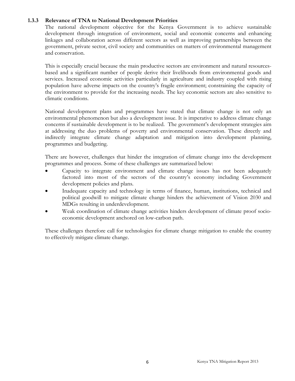#### **1.3.3 Relevance of TNA to National Development Priorities**

<span id="page-13-0"></span>The national development objective for the Kenya Government is to achieve sustainable development through integration of environment, social and economic concerns and enhancing linkages and collaboration across different sectors as well as improving partnerships between the government, private sector, civil society and communities on matters of environmental management and conservation.

This is especially crucial because the main productive sectors are environment and natural resourcesbased and a significant number of people derive their livelihoods from environmental goods and services. Increased economic activities particularly in agriculture and industry coupled with rising population have adverse impacts on the country's fragile environment; constraining the capacity of the environment to provide for the increasing needs. The key economic sectors are also sensitive to climatic conditions.

National development plans and programmes have stated that climate change is not only an environmental phenomenon but also a development issue. It is imperative to address climate change concerns if sustainable development is to be realized. The government's development strategies aim at addressing the duo problems of poverty and environmental conservation. These directly and indirectly integrate climate change adaptation and mitigation into development planning, programmes and budgeting.

There are however, challenges that hinder the integration of climate change into the development programmes and process. Some of these challenges are summarized below:

- Capacity to integrate environment and climate change issues has not been adequately factored into most of the sectors of the country's economy including Government development policies and plans.
- Inadequate capacity and technology in terms of finance, human, institutions, technical and political goodwill to mitigate climate change hinders the achievement of Vision 2030 and MDGs resulting in underdevelopment.
- Weak coordination of climate change activities hinders development of climate proof socioeconomic development anchored on low-carbon path.

These challenges therefore call for technologies for climate change mitigation to enable the country to effectively mitigate climate change.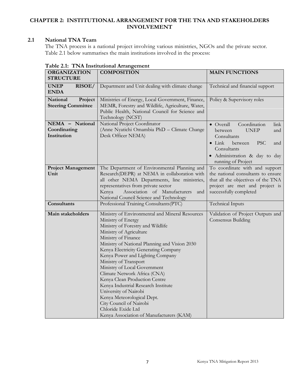# **CHAPTER 2: INSTITUTIONAL ARRANGEMENT FOR THE TNA AND STAKEHOLDERS INVOLVEMENT**

#### **2.1 National TNA Team**

<span id="page-14-1"></span><span id="page-14-0"></span>The TNA process is a national project involving various ministries, NGOs and the private sector. Table 2.1 below summarises the main institutions involved in the process:

| <b>ORGANIZATION</b>                              | <b>COMPOSITION</b>                                                                                                                                                                                                                                                                                                                                                                                                                                                                                                                                                                                             | <b>MAIN FUNCTIONS</b>                                                                                                                                                                                       |  |
|--------------------------------------------------|----------------------------------------------------------------------------------------------------------------------------------------------------------------------------------------------------------------------------------------------------------------------------------------------------------------------------------------------------------------------------------------------------------------------------------------------------------------------------------------------------------------------------------------------------------------------------------------------------------------|-------------------------------------------------------------------------------------------------------------------------------------------------------------------------------------------------------------|--|
| <b>STRUCTURE</b>                                 |                                                                                                                                                                                                                                                                                                                                                                                                                                                                                                                                                                                                                |                                                                                                                                                                                                             |  |
| RISOE/<br><b>UNEP</b><br><b>ENDA</b>             | Department and Unit dealing with climate change                                                                                                                                                                                                                                                                                                                                                                                                                                                                                                                                                                | Technical and financial support                                                                                                                                                                             |  |
| National<br>Project<br><b>Steering Committee</b> | Ministries of Energy, Local Government, Finance,<br>MEMR, Forestry and Wildlife, Agriculture, Water,<br>Public Health, National Council for Science and<br>Technology (NCST)                                                                                                                                                                                                                                                                                                                                                                                                                                   | Policy & Supervisory roles                                                                                                                                                                                  |  |
| NEMA - National<br>Coordinating<br>Institution   | National Project Coordinator<br>(Anne Nyatichi Omambia PhD - Climate Change<br>Desk Officer NEMA)                                                                                                                                                                                                                                                                                                                                                                                                                                                                                                              | Coordination<br>• Overall<br>link  <br><b>UNEP</b><br>between<br>and<br>Consultants<br>$\bullet$ Link<br><b>PSC</b><br>between<br>and<br>Consultants<br>· Administration & day to day<br>running of Project |  |
| <b>Project Management</b><br>Unit                | The Department of Environmental Planning and<br>Research(DEPR) at NEMA in collaboration with<br>all other NEMA Departments, line ministries,<br>representatives from private sector<br>Association of Manufacturers<br>Kenya<br>and<br>National Council Science and Technology                                                                                                                                                                                                                                                                                                                                 | To coordinate with and support<br>the national consultants to ensure<br>that all the objectives of the TNA<br>project are met and project is<br>successfully completed                                      |  |
| Consultants                                      | Professional Training Consultants(PTC)                                                                                                                                                                                                                                                                                                                                                                                                                                                                                                                                                                         | <b>Technical Inputs</b>                                                                                                                                                                                     |  |
| Main stakeholders                                | Ministry of Environmental and Mineral Resources<br>Ministry of Energy<br>Ministry of Forestry and Wildlife<br>Ministry of Agriculture<br>Ministry of Finance<br>Ministry of National Planning and Vision 2030<br>Kenya Electricity Generating Company<br>Kenya Power and Lighting Company<br>Ministry of Transport<br>Ministry of Local Government<br>Climate Network Africa (CNA)<br>Kenya Clean Production Centre<br>Kenya Industrial Research Institute<br>University of Nairobi<br>Kenya Meteorological Dept.<br>City Council of Nairobi<br>Chloride Exide Ltd<br>Kenya Association of Manufacturers (KAM) | Validation of Project Outputs and<br>Consensus Building                                                                                                                                                     |  |

#### <span id="page-14-2"></span>**Table 2.1: TNA Institutional Arrangement**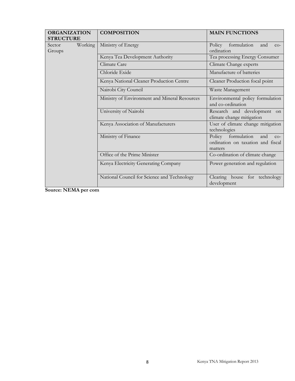| <b>ORGANIZATION</b><br><b>STRUCTURE</b> |         | <b>COMPOSITION</b>                            | <b>MAIN FUNCTIONS</b>                                                              |
|-----------------------------------------|---------|-----------------------------------------------|------------------------------------------------------------------------------------|
| Sector<br>Groups                        | Working | Ministry of Energy                            | Policy formulation<br>and<br>$CO-$<br>ordination                                   |
|                                         |         | Kenya Tea Development Authority               | Tea processing Energy Consumer                                                     |
|                                         |         | Climate Care                                  | Climate Change experts                                                             |
|                                         |         | Chloride Exide                                | Manufacture of batteries                                                           |
|                                         |         | Kenya National Cleaner Production Centre      | Cleaner Production focal point                                                     |
|                                         |         | Nairobi City Council                          | Waste Management                                                                   |
|                                         |         | Ministry of Environment and Mineral Resources | Environmental policy formulation<br>and co-ordination                              |
|                                         |         | University of Nairobi                         | Research and development on<br>climate change mitigation                           |
|                                         |         | Kenya Association of Manufacturers            | User of climate change mitigation<br>technologies                                  |
|                                         |         | Ministry of Finance                           | Policy formulation<br>and<br>$CO-$<br>ordination on taxation and fiscal<br>matters |
|                                         |         | Office of the Prime Minister                  | Co-ordination of climate change                                                    |
|                                         |         | Kenya Electricity Generating Company          | Power generation and regulation                                                    |
|                                         |         | National Council for Science and Technology   | Clearing house for technology<br>development                                       |

**Source: NEMA per com**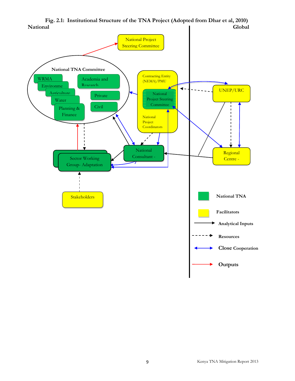

<span id="page-16-0"></span>**Fig. 2.1: Institutional Structure of the TNA Project (Adopted from Dhar et al, 2010) National Global**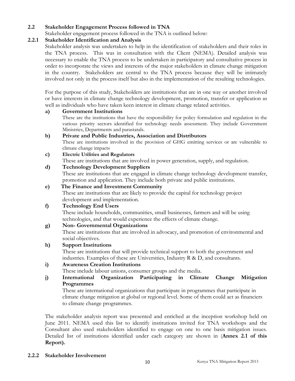#### **2.2 Stakeholder Engagement Process followed in TNA**

Stakeholder engagement process followed in the TNA is outlined below:

#### **2.2.1 Stakeholder Identification and Analysis**

<span id="page-17-1"></span><span id="page-17-0"></span>Stakeholder analysis was undertaken to help in the identification of stakeholders and their roles in the TNA process. This was in consultation with the Client (NEMA). Detailed analysis was necessary to enable the TNA process to be undertaken in participatory and consultative process in order to incorporate the views and interests of the major stakeholders in climate change mitigation in the country. Stakeholders are central to the TNA process because they will be intimately involved not only in the process itself but also in the implementation of the resulting technologies.

For the purpose of this study, Stakeholders are institutions that are in one way or another involved or have interests in climate change technology development, promotion, transfer or application as well as individuals who have taken keen interest in climate change related activities.

#### **a) Government Institutions**

These are the institutions that have the responsibility for policy formulation and regulation in the various priority sectors identified for technology needs assessment. They include Government Ministries, Departments and parastatals.

#### **b) Private and Public Industries, Association and Distributors**

These are institutions involved in the provision of GHG emitting services or are vulnerable to climate change impacts

#### **c) Electric Utilities and Regulators**

These are institutions that are involved in power generation, supply, and regulation.

#### **d) Technology Development Suppliers**

These are institutions that are engaged in climate change technology development transfer, promotion and application. They include both private and public institutions.

#### **e) The Finance and Investment Community**

These are institutions that are likely to provide the capital for technology project development and implementation.

#### **f) Technology End Users**

These include households, communities, small businesses, farmers and will be using technologies, and that would experience the effects of climate change.

#### **g) Non- Governmental Organizations**

These are institutions that are involved in advocacy, and promotion of environmental and social objectives.

#### **h) Support Institutions**

These are institutions that will provide technical support to both the government and industries. Examples of these are Universities, Industry R & D, and consultants.

# **i) Awareness Creation Institutions**

These include labour unions, consumer groups and the media.

#### **j) International Organization Participating in Climate Change Mitigation Programmes**

These are international organizations that participate in programmes that participate in climate change mitigation at global or regional level. Some of them could act as financiers to climate change programmes.

<span id="page-17-2"></span>The stakeholder analysis report was presented and enriched at the inception workshop held on June 2011. NEMA used this list to identify institutions invited for TNA workshops and the Consultant also used stakeholders identified to engage on one to one basis mitigation issues. Detailed list of institutions identified under each category are shown in (**Annex 2.1 of this Report).**

#### **2.2.2 Stakeholder Involvement**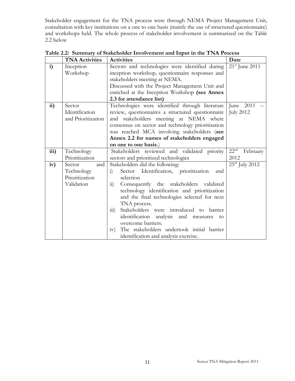Stakeholder engagement for the TNA process were through NEMA Project Management Unit, consultation with key institutions on a one to one basis (mainly the use of structured questionnaire) and workshops held. The whole process of stakeholder involvement is summarized on the Table 2.2 below

|      | <b>TNA Activities</b> | <b>Activities</b>                                          | Date                         |
|------|-----------------------|------------------------------------------------------------|------------------------------|
| i)   | Inception             | Sectors and technologies were identified during            | $21^{\rm st}$ June 2011      |
|      | Workshop              | inception workshop, questionnaire responses and            |                              |
|      |                       | stakeholders meeting at NEMA.                              |                              |
|      |                       | Discussed with the Project Management Unit and             |                              |
|      |                       | enriched at the Inception Workshop (see Annex              |                              |
|      |                       | 2.3 for attendance list)                                   |                              |
| ii)  | Sector                | Technologies were identified through literature            | 2011<br>June                 |
|      | Identification        | review, questionnaires a structured questionnaire          | <b>July 2012</b>             |
|      | and Prioritization    | and stakeholders meeting at NEMA where                     |                              |
|      |                       | consensus on sector and technology prioritisation          |                              |
|      |                       | was reached MCA involving stakeholders (see                |                              |
|      |                       | Annex 2.2 for names of stakeholders engaged                |                              |
|      |                       | on one to one basis.)                                      |                              |
| iii) | Technology            | Stakeholders reviewed and validated priority               | 22 <sup>nd</sup><br>February |
|      | Prioritization        | sectors and prioritized technologies                       | 2012                         |
| iv)  | Sector<br>and         | Stakeholders did the following:                            | $25th$ July 2012             |
|      | Technology            | Sector Identification, prioritization<br>$\ddot{i}$<br>and |                              |
|      | Prioritization        | selection                                                  |                              |
|      | Validation            | Consequently the stakeholders validated<br>$\overline{11}$ |                              |
|      |                       | technology identification and prioritization               |                              |
|      |                       | and the final technologies selected for next               |                              |
|      |                       | TNA process.                                               |                              |
|      |                       | Stakeholders were introduced to barrier<br>111)            |                              |
|      |                       | identification analysis and measures<br>to                 |                              |
|      |                       | overcome barriers.                                         |                              |
|      |                       | The stakeholders undertook initial barrier<br>iv)          |                              |
|      |                       | identification and analysis exercise.                      |                              |

**Table 2.2: Summary of Stakeholder Involvement and Input in the TNA Process**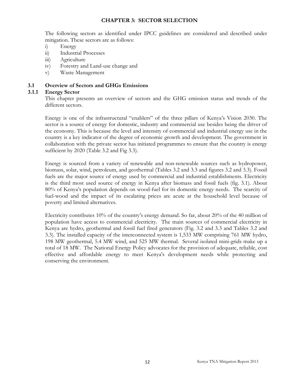#### <span id="page-19-1"></span><span id="page-19-0"></span>**CHAPTER 3: SECTOR SELECTION**

The following sectors as identified under IPCC guidelines are considered and described under mitigation. These sectors are as follows:

- i) Energy
- ii) Industrial Processes
- iii) Agriculture
- iv) Forestry and Land-use change and
- v) Waste Management

#### **3.1 Overview of Sectors and GHGs Emissions**

#### **3.1.1 Energy Sector**

<span id="page-19-2"></span>This chapter presents an overview of sectors and the GHG emission status and trends of the different sectors.

Energy is one of the infrastructural "enablers" of the three pillars of Kenya's Vision 2030. The sector is a source of energy for domestic, industry and commercial use besides being the driver of the economy. This is because the level and intensity of commercial and industrial energy use in the country is a key indicator of the degree of economic growth and development. The government in collaboration with the private sector has initiated programmes to ensure that the country is energy sufficient by 2020 (Table 3.2 and Fig 3.3).

Energy is sourced from a variety of renewable and non-renewable sources such as hydropower, biomass, solar, wind, petroleum, and geothermal (Tables 3.2 and 3.3 and figures 3.2 and 3.3). Fossil fuels are the major source of energy used by commercial and industrial establishments. Electricity is the third most used source of energy in Kenya after biomass and fossil fuels (fig. 3.1). About 80% of Kenya's population depends on wood-fuel for its domestic energy needs. The scarcity of fuel-wood and the impact of its escalating prices are acute at the household level because of poverty and limited alternatives.

Electricity contributes 10% of the country's energy demand. So far, about 20% of the 40 million of population have access to commercial electricity. The main sources of commercial electricity in Kenya are hydro, geothermal and fossil fuel fired generators (Fig. 3.2 and 3.3 and Tables 3.2 and 3.3). The installed capacity of the interconnected system is 1,533 MW comprising 761 MW hydro, 198 MW geothermal, 5.4 MW wind, and 525 MW thermal. Several isolated mini-grids make up a total of 18 MW. The National Energy Policy advocates for the provision of adequate, reliable, cost effective and affordable energy to meet Kenya's development needs while protecting and conserving the environment.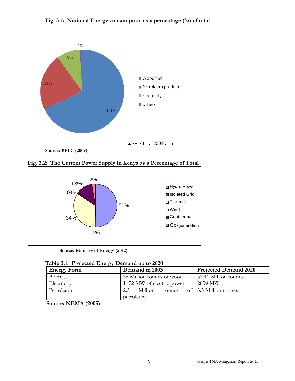

<span id="page-20-1"></span>**Fig. 3.1: National Energy consumption as a percentage (%) of total**





<span id="page-20-2"></span><span id="page-20-0"></span>**Source: Ministry of Energy (2012)**

|  | Table 3.1: Projected Energy Demand up to 2020 |  |  |  |  |
|--|-----------------------------------------------|--|--|--|--|
|--|-----------------------------------------------|--|--|--|--|

| <b>Energy Form</b> | Demand in 2003            | <b>Projected Demand 2020</b> |  |
|--------------------|---------------------------|------------------------------|--|
| <b>Biomass</b>     | 36 Million tonnes of wood | 53.41 Million tonnes         |  |
| Electricity        | 1172 MW of electric power | 2839 MW                      |  |
| Petroleum          | Million<br>2.3<br>tonnes  | of 3.5 Million tonnes        |  |
|                    | petroleum                 |                              |  |

**Source: NEMA (2005)**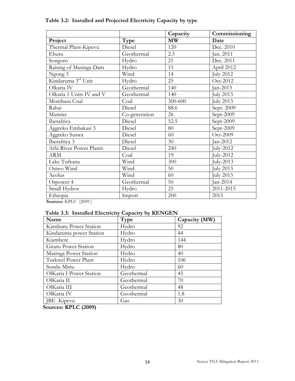<span id="page-21-0"></span>

|                          |               | Capacity | Commissioning    |
|--------------------------|---------------|----------|------------------|
| Project                  | Type          | MW       | Date             |
| Thermal Plant-Kipevu     | Diesel        | 120      | Dec. 2010        |
| Eburu                    | Geothermal    | 2.5      | Jan. 2011        |
| Songoro                  | Hydro         | 21       | Dec. 2011        |
| Raising of Masinga Dam   | Hydro         | 15       | April 2012       |
| Ngong 3                  | Wind          | 14       | <b>July 2012</b> |
| Kindaruma 3rd Unit       | Hydro         | 25       | Oct-2012         |
| Olkaria IV               | Geothermal    | 140      | Jan-2013         |
| Olkaria 1 Units IV and V | Geothermal    | 140      | July 2013        |
| Mombasa Coal             | Coal          | 300-600  | <b>July 2013</b> |
| Rabai                    | Diesel        | 88.6     | Sept. 2009       |
| Mumias                   | Co-generation | 26       | Sept-2009        |
| Iberafrica               | Diesel        | 52.5     | Sept-2009        |
| Aggreko Embakasi 3       | Diesel        | 80       | Sept-2009        |
| Aggreko Suswa            | Diesel        | 60       | Oct-2009         |
| Iberafrica 3             | Diesel        | 30       | Jan-2012         |
| Athi River Power Plants  | Diesel        | 240      | July-2012        |
| <b>ARM</b>               | Coal          | 19       | July-2012        |
| Lake Turkana             | Wind          | 300      | July-2013        |
| Osiwo Wind               | Wind          | 50       | July 2013        |
| Aeolus                   | Wind          | 60       | <b>July 2013</b> |
| Orpower 4                | Geothermal    | 50       | Jan-2014         |
| Small Hydros             | Hydro         | 25       | 2011-2015        |
| Ethiopia                 | Import        | 200      | 2015             |

# **Table 3.2: Installed and Projected Electricity Capacity by type**

<span id="page-21-1"></span>**Sources:** KPLC (2009 )

# **Table 3.3: Installed Electricity Capacity by KENGEN**

| Name                    | Type       | Capacity (MW) |
|-------------------------|------------|---------------|
| Kamburu Power Station   | Hydro      | 92            |
| Kindaruma power Station | Hydro      | 44            |
| Kiambere                | Hydro      | 144           |
| Gitaru Power Station    | Hydro      | 80            |
| Masinga Power Station   | Hydro      | 40            |
| Turkwel Power Plant     | Hydro      | 106           |
| Sondu Miriu             | Hydro      | 60            |
| OlKaria I Power Station | Geothermal | 45            |
| OlKaria II              | Geothermal | 70            |
| OlKaria III             | Geothermal | 48            |
| OlKaria IV              | Geothermal | 1.8           |
| <b>JBE</b> Kipevu       | Gas        | 30            |

**Sources: KPLC (2009)**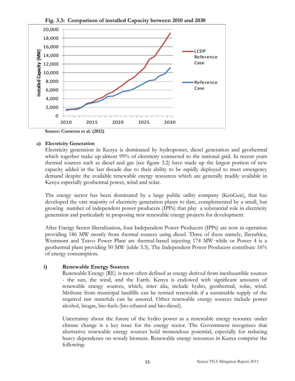

<span id="page-22-0"></span>**Fig. 3.3: Comparison of installed Capacity between 2010 and 2030**

**Source: Cameron et al. (2012)** 

#### **a) Electricity Generation**

Electricity generation in Kenya is dominated by hydropower, diesel generation and geothermal which together make up almost 99% of electricity connected to the national grid. In recent years thermal sources such as diesel and gas (see figure 3.2) have made up the largest portion of new capacity added in the last decade due to their ability to be rapidly deployed to meet emergency demand despite the available renewable energy resources which are generally readily available in Kenya especially geothermal power, wind and solar.

The energy sector has been dominated by a large public utility company (KenGen), that has developed the vast majority of electricity generation plants to date, complemented by a small, but growing number of independent power producers (IPPs) that play a substantial role in electricity generation and particularly in proposing new renewable energy projects for development.

After Energy Sector liberalization, four Independent Power Producers (IPPs) are now in operation providing 186 MW mostly from thermal sources using diesel. Three of these namely, Iberafrica, Westmont and Tsavo Power Plant are thermal-based injecting 174 MW while or Power 4 is a geothermal plant providing 50 MW (table 3.3). The Independent Power Producers contribute 16% of energy consumption.

#### **i) Renewable Energy Sources**

Renewable Energy (RE) is most often defined as energy derived from inexhaustible sources - the sun, the wind, and the Earth. Kenya is endowed with significant amounts of renewable energy sources, which, inter alia, include hydro, geothermal, solar, wind. Methane from municipal landfills can be termed renewable if a sustainable supply of the required raw materials can be assured. Other renewable energy sources include power alcohol, biogas, bio-fuels (bio-ethanol and bio-diesel).

Uncertainty about the future of the hydro power as a renewable energy resource under climate change is a key issue for the energy sector. The Government recognizes that alternative renewable energy sources hold tremendous potential, especially for reducing heavy dependence on woody biomass. Renewable energy resources in Kenya comprise the following: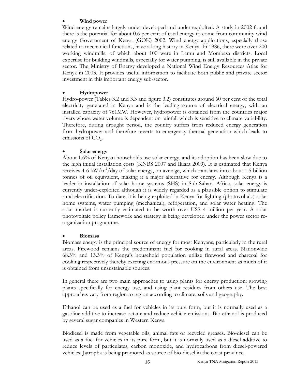#### • **Wind power**

Wind energy remains largely under-developed and under-exploited. A study in 2002 found there is the potential for about 0.6 per cent of total energy to come from community wind energy Government of Kenya (GOK) 2002. Wind energy applications, especially those related to mechanical functions, have a long history in Kenya. In 1986, there were over 200 working windmills, of which about 100 were in Lamu and Mombasa districts. Local expertise for building windmills, especially for water pumping, is still available in the private sector. The Ministry of Energy developed a National Wind Energy Resources Atlas for Kenya in 2003. It provides useful information to facilitate both public and private sector investment in this important energy sub-sector.

#### • **Hydropower**

Hydro-power (Tables 3.2 and 3.3 and figure 3.2) constitutes around 60 per cent of the total electricity generated in Kenya and is the leading source of electrical energy, with an installed capacity of 761MW. However, hydropower is obtained from the countries major rivers whose water volume is dependent on rainfall which is sensitive to climate variability. Therefore, during drought period, the country suffers from reduced energy generation from hydropower and therefore reverts to emergency thermal generation which leads to emissions of  $CO<sub>2</sub>$ .

#### • **Solar energy**

About 1.6% of Kenyan households use solar energy, and its adoption has been slow due to the high initial installation costs (KNBS 2007 and Ikiara 2009). It is estimated that Kenya receives 4-6 kW/ $m^2$ /day of solar energy, on average, which translates into about 1.5 billion tonnes of oil equivalent, making it a major alternative for energy. Although Kenya is a leader in installation of solar home systems (SHS) in Sub-Sahara Africa, solar energy is currently under-exploited although it is widely regarded as a plausible option to stimulate rural electrification. To date, it is being exploited in Kenya for lighting (photovoltaic)-solar home systems, water pumping (mechanical), refrigeration, and solar water heating. The solar market is currently estimated to be worth over US\$ 4 million per year. A solar photovoltaic policy framework and strategy is being developed under the power sector reorganization programme.

#### • **Biomass**

Biomass energy is the principal source of energy for most Kenyans, particularly in the rural areas. Firewood remains the predominant fuel for cooking in rural areas. Nationwide 68.3% and 13.3% of Kenya's household population utilize firewood and charcoal for cooking respectively thereby exerting enormous pressure on the environment as much of it is obtained from unsustainable sources.

In general there are two main approaches to using plants for energy production: growing plants specifically for energy use, and using plant residues from others use. The best approaches vary from region to region according to climate, soils and geography.

Ethanol can be used as a fuel for vehicles in its pure form, but it is normally used as a gasoline additive to increase octane and reduce vehicle emissions. Bio-ethanol is produced by several sugar companies in Western Kenya

Biodiesel is made from vegetable oils, animal fats or recycled greases. Bio-diesel can be used as a fuel for vehicles in its pure form, but it is normally used as a diesel additive to reduce levels of particulates, carbon monoxide, and hydrocarbons from diesel-powered vehicles. Jatropha is being promoted as source of bio-diesel in the coast province.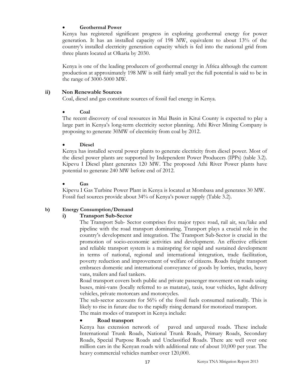#### • **Geothermal Power**

Kenya has registered significant progress in exploring geothermal energy for power generation. It has an installed capacity of 198 MW, equivalent to about 13% of the country's installed electricity generation capacity which is fed into the national grid from three plants located at Olkaria by 2030.

Kenya is one of the leading producers of geothermal energy in Africa although the current production at approximately 198 MW is still fairly small yet the full potential is said to be in the range of 3000-5000 MW.

#### **ii) Non Renewable Sources**

Coal, diesel and gas constitute sources of fossil fuel energy in Kenya.

#### • **Coal**

The recent discovery of coal resources in Mui Basin in Kitui County is expected to play a large part in Kenya's long-term electricity sector planning. Athi River Mining Company is proposing to generate 30MW of electricity from coal by 2012.

#### • **Diesel**

Kenya has installed several power plants to generate electricity from diesel power. Most of the diesel power plants are supported by Independent Power Producers (IPPs) (table 3.2). Kipevu I Diesel plant generates 120 MW. The proposed Athi River Power plants have potential to generate 240 MW before end of 2012.

#### • **Gas**

Kipevu I Gas Turbine Power Plant in Kenya is located at Mombasa and generates 30 MW. Fossil fuel sources provide about 34% of Kenya's power supply (Table 3.2).

#### **b) Energy Consumption/Demand**

#### **i) Transport Sub-Sector**

The Transport Sub- Sector comprises five major types: road, rail air, sea/lake and pipeline with the road transport dominating. Transport plays a crucial role in the country's development and integration. The Transport Sub-Sector is crucial in the promotion of socio-economic activities and development. An effective efficient and reliable transport system is a mainspring for rapid and sustained development in terms of national, regional and international integration, trade facilitation, poverty reduction and improvement of welfare of citizens. Roads freight transport embraces domestic and international conveyance of goods by lorries, trucks, heavy vans, trailers and fuel tankers.

Road transport covers both public and private passenger movement on roads using buses, mini-vans (locally referred to as matatus), taxis, tour vehicles, light delivery vehicles, private motorcars and motorcycles.

The sub-sector accounts for 56% of the fossil fuels consumed nationally. This is likely to rise in future due to the rapidly rising demand for motorized transport.

The main modes of transport in Kenya include:

#### • **Road transport**

Kenya has extension network of paved and unpaved roads. These include International Trunk Roads, National Trunk Roads, Primary Roads, Secondary Roads, Special Purpose Roads and Unclassified Roads. There are well over one million cars in the Kenyan roads with additional rate of about 10,000 per year. The heavy commercial vehicles number over 120,000.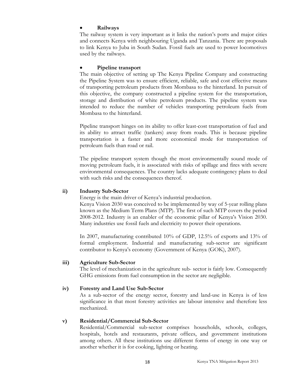#### • **Railways**

The railway system is very important as it links the nation's ports and major cities and connects Kenya with neighbouring Uganda and Tanzania. There are proposals to link Kenya to Juba in South Sudan. Fossil fuels are used to power locomotives used by the railways.

### • **Pipeline transport**

The main objective of setting up The Kenya Pipeline Company and constructing the Pipeline System was to ensure efficient, reliable, safe and cost effective means of transporting petroleum products from Mombasa to the hinterland. In pursuit of this objective, the company constructed a pipeline system for the transportation, storage and distribution of white petroleum products. The pipeline system was intended to reduce the number of vehicles transporting petroleum fuels from Mombasa to the hinterland.

Pipeline transport hinges on its ability to offer least-cost transportation of fuel and its ability to attract traffic (tankers) away from roads. This is because pipeline transportation is a faster and more economical mode for transportation of petroleum fuels than road or rail.

The pipeline transport system though the most environmentally sound mode of moving petroleum fuels, it is associated with risks of spillage and fires with severe environmental consequences. The country lacks adequate contingency plans to deal with such risks and the consequences thereof.

#### **ii) Industry Sub-Sector**

Energy is the main driver of Kenya's industrial production.

Kenya Vision 2030 was conceived to be implemented by way of 5-year rolling plans known as the Medium Term Plans (MTP). The first of such MTP covers the period 2008-2012. Industry is an enabler of the economic pillar of Kenya's Vision 2030. Many industries use fossil fuels and electricity to power their operations.

In 2007, manufacturing contributed 10% of GDP, 12.5% of exports and 13% of formal employment. Industrial and manufacturing sub-sector are significant contributor to Kenya's economy (Government of Kenya (GOK), 2007).

#### **iii) Agriculture Sub-Sector**

The level of mechanization in the agriculture sub- sector is fairly low. Consequently GHG emissions from fuel consumption in the sector are negligible.

# **iv) Forestry and Land Use Sub-Sector**

As a sub-sector of the energy sector, forestry and land-use in Kenya is of less significance in that most forestry activities are labour intensive and therefore less mechanized.

#### **v) Residential/Commercial Sub-Sector**

Residential/Commercial sub-sector comprises households, schools, colleges, hospitals, hotels and restaurants, private offices, and government institutions among others. All these institutions use different forms of energy in one way or another whether it is for cooking, lighting or heating.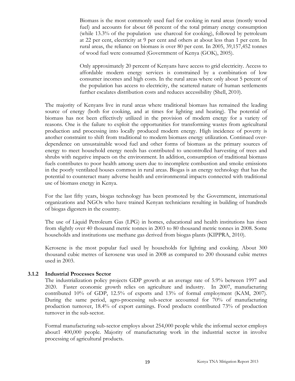Biomass is the most commonly used fuel for cooking in rural areas (mostly wood fuel) and accounts for about 68 percent of the total primary energy consumption (while 13.3% of the population use charcoal for cooking), followed by petroleum at 22 per cent, electricity at 9 per cent and others at about less than 1 per cent. In rural areas, the reliance on biomass is over 80 per cent. In 2005, 39,157,452 tonnes of wood fuel were consumed (Government of Kenya (GOK), 2005).

Only approximately 20 percent of Kenyans have access to grid electricity. Access to affordable modern energy services is constrained by a combination of low consumer incomes and high costs. In the rural areas where only about 5 percent of the population has access to electricity, the scattered nature of human settlements further escalates distribution costs and reduces accessibility (Shell, 2010).

The majority of Kenyans live in rural areas where traditional biomass has remained the leading source of energy (both for cooking, and at times for lighting and heating). The potential of biomass has not been effectively utilized in the provision of modern energy for a variety of reasons. One is the failure to exploit the opportunities for transforming wastes from agricultural production and processing into locally produced modern energy. High incidence of poverty is another constraint to shift from traditional to modern biomass energy utilization. Continued overdependence on unsustainable wood fuel and other forms of biomass as the primary sources of energy to meet household energy needs has contributed to uncontrolled harvesting of trees and shrubs with negative impacts on the environment. In addition, consumption of traditional biomass fuels contributes to poor health among users due to incomplete combustion and smoke emissions in the poorly ventilated houses common in rural areas. Biogas is an energy technology that has the potential to counteract many adverse health and environmental impacts connected with traditional use of biomass energy in Kenya.

For the last fifty years, biogas technology has been promoted by the Government, international organizations and NGOs who have trained Kenyan technicians resulting in building of hundreds of biogas digesters in the country.

The use of Liquid Petroleum Gas (LPG) in homes, educational and health institutions has risen from slightly over 40 thousand metric tonnes in 2003 to 80 thousand metric tonnes in 2008. Some households and institutions use methane gas derived from biogas plants (KIPPRA, 2010).

Kerosene is the most popular fuel used by households for lighting and cooking. About 300 thousand cubic metres of kerosene was used in 2008 as compared to 200 thousand cubic metres used in 2003.

#### **3.1.2 Industrial Processes Sector**

<span id="page-26-0"></span>The industrialization policy projects GDP growth at an average rate of 5.9% between 1997 and 2020. Faster economic growth relies on agriculture and industry. In 2007, manufacturing contributed 10% of GDP, 12.5% of exports and 13% of formal employment (KAM, 2007). During the same period, agro-processing sub-sector accounted for 70% of manufacturing production turnover, 18.4% of export earnings. Food products contributed 73% of production turnover in the sub-sector.

Formal manufacturing sub-sector employs about 254,000 people while the informal sector employs about1 400,000 people. Majority of manufacturing work in the industrial sector in involve processing of agricultural products.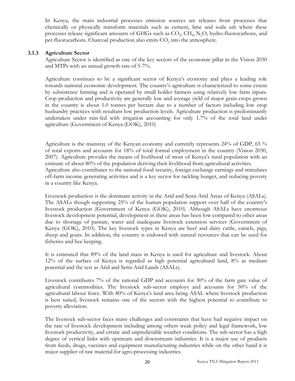In Kenya, the main industrial processes emission sources are releases from processes that chemically or physically transform materials such as cement, lime and soda ash where these processes release significant amounts of GHGs such as  $CO<sub>2</sub>$ ,  $CH<sub>4</sub>$ , N<sub>2</sub>O, hydro-fluorocarbons, and per-fluorocarbons. Charcoal production also emits CO<sub>2</sub> into the atmosphere.

#### **3.1.3 Agriculture Sector**

<span id="page-27-0"></span>Agriculture Sector is identified as one of the key sectors of the economic pillar in the Vision 2030 and MTPs with an annual growth rate of 5-7%.

Agriculture continues to be a significant sector of Kenya's economy and plays a leading role towards national economic development. The country's agriculture is characterized to some extent by subsistence farming and is operated by small holder farmers using relatively low farm inputs. Crop production and productivity are generally low and average yield of major grain crops grown in the country is about 1.0 tonnes per hectare due to a number of factors including low crop husbandry practices with resultant low production levels. Agriculture production is predominantly undertaken under rain-fed with irrigation accounting for only 1.7% of the total land under agriculture (Government of Kenya (GOK), 2010)

Agriculture is the mainstay of the Kenyan economy and currently represents 24% of GDP, 65 % of total exports and accounts for 18% of total formal employment in the country (Vision 2030, 2007). Agriculture provides the means of livelihood of most of Kenya's rural population with an estimate of about 80% of the population deriving their livelihood from agricultural activities. Agriculture also contributes to the national food security, foreign exchange earnings and stimulates off-farm income generating activities and is a key sector for tackling hunger, and reducing poverty in a country like Kenya.

Livestock production is the dominant activity in the Arid and Semi-Arid Areas of Kenya (ASALs). The ASALs though supporting 25% of the human population support over half of the country's livestock production (Government of Kenya (GOK), 2010). Although ASALs have enormous livestock development potential, development in these areas has been low compared to other areas due to shortage of pasture, water and inadequate livestock extension services (Government of Kenya (GOK), 2010). The key livestock types in Kenya are beef and dairy cattle, camels, pigs, sheep and goats. In addition, the country is endowed with natural resources that can be used for fisheries and bee keeping.

It is estimated that 89% of the land mass in Kenya is used for agriculture and livestock. About 12% of the surface of Kenya is regarded as high potential agricultural land, 8% as medium potential and the rest as Arid and Semi-Arid Lands (ASALs).

Livestock contributes 7% of the rational GDP and accounts for 30% of the farm gate value of agricultural commodities. The livestock sub-sector employs and accounts for 50% of the agricultural labour force. With 80% of Kenya's land area being ASAL where livestock production is best suited, livestock remains one of the sectors with the highest potential to contribute to poverty alleviation.

The livestock sub-sector faces many challenges and constraints that have had negative impact on the rate of livestock development including among others weak policy and legal framework, low livestock productivity, and erratic and unpredictable weather conditions. The sub-sector has a high degree of vertical links with upstream and downstream industries. It is a major use of products from feeds, drugs, vaccines and equipment manufacturing industries while on the other hand it is major supplier of raw material for agro-processing industries.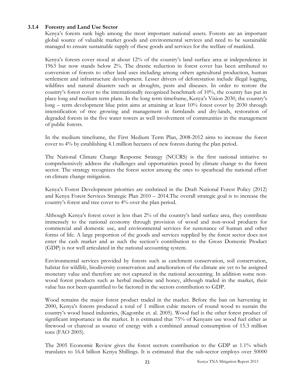#### **3.1.4 Forestry and Land Use Sector**

<span id="page-28-0"></span>Kenya's forests rank high among the most important national assets. Forests are an important global source of valuable market goods and environmental services and need to be sustainable managed to ensure sustainable supply of these goods and services for the welfare of mankind.

Kenya's forests cover stood at about 12% of the country's land surface area at independence in 1963 but now stands below 2%. The drastic reduction in forest cover has been attributed to conversion of forests to other land uses including among others agricultural production, human settlement and infrastructure development. Lesser drivers of deforestation include illegal logging, wildfires and natural disasters such as droughts, pests and diseases. In order to restore the country's forest cover to the internationally recognized benchmark of 10%, the country has put in place long and medium term plans. In the long term timeframe, Kenya's Vision 2030, the country's long – term development blue print aims at attaining at least 10% forest cover by 2030 through intensification of tree growing and management in farmlands and dry-lands, restoration of degraded forests in the five water towers as well involvement of communities in the management of public forests.

In the medium timeframe, the First Medium Term Plan, 2008-2012 aims to increase the forest cover to 4% by establishing 4.1.million hectares of new forests during the plan period.

The National Climate Change Response Strategy (NCCRS) is the first national initiative to comprehensively address the challenges and opportunities posed by climate change to the forest sector. The strategy recognizes the forest sector among the ones to spearhead the national effort on climate change mitigation.

Kenya's Forest Development priorities are enshrined in the Draft National Forest Policy (2012) and Kenya Forest Services Strategic Plan 2010 – 2014.The overall strategic goal is to increase the country's forest and tree cover to 4% over the plan period.

Although Kenya's forest cover is less than 2% of the country's land surface area, they contribute immensely to the national economy through provision of wood and non-wood products for commercial and domestic use, and environmental services for sustenance of human and other forms of life. A large proportion of the goods and services supplied by the forest sector does not enter the cash market and as such the section's contribution to the Gross Domestic Product (GDP) is not well articulated in the national accounting system.

Environmental services provided by forests such as catchment conservation, soil conservation, habitat for wildlife, biodiversity conservation and amelioration of the climate are yet to be assigned monetary value and therefore are not captured in the national accounting. In addition some nonwood forest products such as herbal medicine and honey, although traded in the market, their value has not been quantified to be factored in the sectors contribution to GDP.

Wood remains the major forest product traded in the market. Before the ban on harvesting in 2000, Kenya's forests produced a total of 1 million cubic meters of round wood to sustain the country's wood based industries, (Kagombe et. al. 2005). Wood fuel is the other forest product of significant importance in the market. It is estimated that 75% of Kenyans use wood fuel either as firewood or charcoal as source of energy with a combined annual consumption of 15.3 million tons (FAO 2005).

The 2005 Economic Review gives the forest sectors contribution to the GDP as 1.1% which translates to 16.4 billion Kenya Shillings. It is estimated that the sub-sector employs over 50000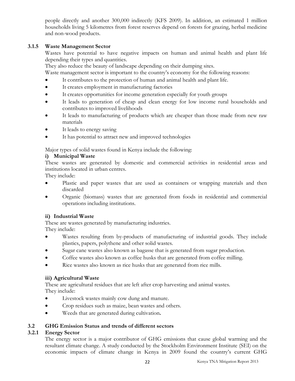people directly and another 300,000 indirectly (KFS 2009). In addition, an estimated 1 million households living 5 kilometres from forest reserves depend on forests for grazing, herbal medicine and non-wood products.

# **3.1.5 Waste Management Sector**

<span id="page-29-0"></span>Wastes have potential to have negative impacts on human and animal health and plant life depending their types and quantities.

They also reduce the beauty of landscape depending on their dumping sites.

Waste management sector is important to the country's economy for the following reasons:

- It contributes to the protection of human and animal health and plant life.
- It creates employment in manufacturing factories
- It creates opportunities for income generation especially for youth groups
- It leads to generation of cheap and clean energy for low income rural households and contributes to improved livelihoods
- It leads to manufacturing of products which are cheaper than those made from new raw materials
- It leads to energy saving
- It has potential to attract new and improved technologies

Major types of solid wastes found in Kenya include the following:

#### **i) Municipal Waste**

These wastes are generated by domestic and commercial activities in residential areas and institutions located in urban centres.

They include:

- Plastic and paper wastes that are used as containers or wrapping materials and then discarded
- Organic (biomass) wastes that are generated from foods in residential and commercial operations including institutions.

#### **ii) Industrial Waste**

These are wastes generated by manufacturing industries. They include:

- Wastes resulting from by-products of manufacturing of industrial goods. They include plastics, papers, polythene and other solid wastes.
- Sugar cane wastes also known as bagasse that is generated from sugar production.
- Coffee wastes also known as coffee husks that are generated from coffee milling.
- Rice wastes also known as rice husks that are generated from rice mills.

#### **iii) Agricultural Waste**

These are agricultural residues that are left after crop harvesting and animal wastes. They include:

- Livestock wastes mainly cow dung and manure.
- Crop residues such as maize, bean wastes and others.
- <span id="page-29-1"></span>• Weeds that are generated during cultivation**.**

#### **3.2 GHG Emission Status and trends of different sectors**

# **3.2.1 Energy Sector**

<span id="page-29-2"></span>The energy sector is a major contributor of GHG emissions that cause global warming and the resultant climate change. A study conducted by the Stockholm Environment Institute (SEI) on the economic impacts of climate change in Kenya in 2009 found the country's current GHG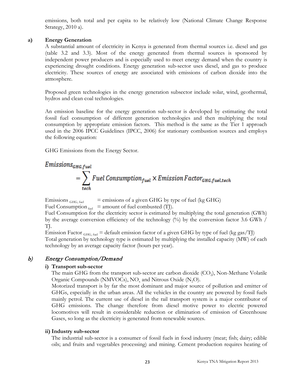emissions, both total and per capita to be relatively low (National Climate Change Response Strategy, 2010 a).

#### **a) Energy Generation**

A substantial amount of electricity in Kenya is generated from thermal sources i.e. diesel and gas (table 3.2 and 3.3). Most of the energy generated from thermal sources is sponsored by independent power producers and is especially used to meet energy demand when the country is experiencing drought conditions. Energy generation sub-sector uses diesel, and gas to produce electricity. These sources of energy are associated with emissions of carbon dioxide into the atmosphere.

Proposed green technologies in the energy generation subsector include solar, wind, geothermal, hydros and clean coal technologies.

An emission baseline for the energy generation sub-sector is developed by estimating the total fossil fuel consumption of different generation technologies and then multiplying the total consumption by appropriate emission factors. This method is the same as the Tier 1 approach used in the 2006 IPCC Guidelines (IPCC, 2006) for stationary combustion sources and employs the following equation:

GHG Emissions from the Energy Sector.

Emissions<sub>GHG.fuel</sub>



Emissions  $_{\text{GHG, fuel}}$  = emissions of a given GHG by type of fuel (kg GHG) Fuel Consumption  $_{\text{fuel}}$  = amount of fuel combusted (TJ).

Fuel Consumption for the electricity sector is estimated by multiplying the total generation (GWh) by the average conversion efficiency of the technology (%) by the conversion factor 3.6 GWh / TJ.

Emission Factor  $_{\text{GHG, fuel}}$  = default emission factor of a given GHG by type of fuel (kg gas/TJ) Total generation by technology type is estimated by multiplying the installed capacity (MW) of each technology by an average capacity factor (hours per year).

# b) Energy Consumption/Demand

# **i) Transport sub-sector**

The main GHG from the transport sub-sector are carbon dioxide  $(CO<sub>2</sub>)$ , Non-Methane Volatile Organic Compounds (NMVOCs),  $NO<sub>x</sub>$  and Nitrous Oxide (N<sub>2</sub>O).

Motorized transport is by far the most dominant and major source of pollution and emitter of GHGs, especially in the urban areas. All the vehicles in the country are powered by fossil fuels mainly petrol. The current use of diesel in the rail transport system is a major contributor of GHG emissions. The change therefore from diesel motive power to electric powered locomotives will result in considerable reduction or elimination of emission of Greenhouse Gases, so long as the electricity is generated from renewable sources.

# **ii) Industry sub-sector**

The industrial sub-sector is a consumer of fossil fuels in food industry (meat; fish; dairy; edible oils; and fruits and vegetables processing) and mining. Cement production requires heating of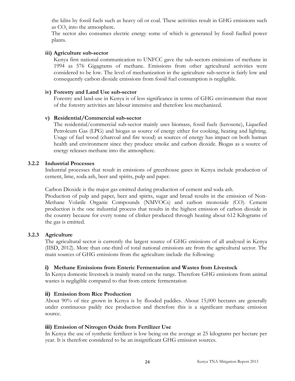the kilns by fossil fuels such as heavy oil or coal. These activities result in GHG emissions such as  $CO<sub>2</sub>$  into the atmosphere.

The sector also consumes electric energy some of which is generated by fossil fuelled power plants.

#### **iii) Agriculture sub-sector**

Kenya first national communication to UNFCC gave the sub-sectors emissions of methane in 1994 as 576 Gigagrams of methane. Emissions from other agricultural activities were considered to be low. The level of mechanization in the agriculture sub-sector is fairly low and consequently carbon dioxide emissions from fossil fuel consumption is negligible.

#### **iv) Forestry and Land Use sub-sector**

Forestry and land-use in Kenya is of less significance in terms of GHG environment that most of the forestry activities are labour intensive and therefore less mechanized.

#### **v) Residential/Commercial sub-sector**

The residential/commercial sub-sector mainly uses biomass, fossil fuels (kerosene), Liquefied Petroleum Gas (LPG) and biogas as source of energy either for cooking, heating and lighting. Usage of fuel wood (charcoal and fire wood) as sources of energy has impact on both human health and environment since they produce smoke and carbon dioxide. Biogas as a source of energy releases methane into the atmosphere.

#### **3.2.2 Industrial Processes**

<span id="page-31-0"></span>Industrial processes that result in emissions of greenhouse gases in Kenya include production of cement, lime, soda ash, beer and spirits, pulp and paper.

Carbon Dioxide is the major gas emitted during production of cement and soda ash.

Production of pulp and paper, beer and spirits, sugar and bread results in the emission of Non-Methane Volatile Organic Compounds (NMVOCs) and carbon monoxide (CO). Cement production is the one industrial process that results in the highest emission of carbon dioxide in the country because for every tonne of clinker produced through heating about 612 Kilograms of the gas is emitted.

#### **3.2.3 Agriculture**

<span id="page-31-1"></span>The agricultural sector is currently the largest source of GHG emissions of all analysed in Kenya (IISD, 2012). More than one-third of total national emissions are from the agricultural sector. The main sources of GHG emissions from the agriculture include the following:

#### **i) Methane Emissions from Enteric Fermentation and Wastes from Livestock**

In Kenya domestic livestock is mainly reared on the range. Therefore GHG emissions from animal wastes is negligible compared to that from enteric fermentation

#### **ii) Emission from Rice Production**

About 90% of rice grown in Kenya is by flooded paddies. About 15,000 hectares are generally under continuous paddy rice production and therefore this is a significant methane emission source.

#### **iii) Emission of Nitrogen Oxide from Fertilizer Use**

In Kenya the use of synthetic fertilizer is low being on the average at 25 kilograms per hectare per year. It is therefore considered to be an insignificant GHG emission sources.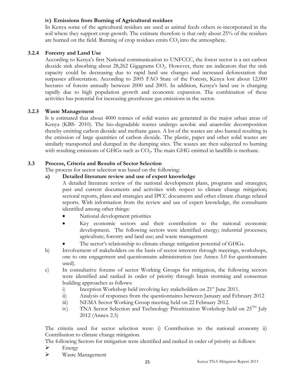#### **iv) Emissions from Burning of Agricultural residues**

In Kenya some of the agricultural residues are used as animal feeds others re-incorporated in the soil where they support crop growth. The estimate therefore is that only about 25% of the residues are burned on the field. Burning of crop residues emits  $CO<sub>2</sub>$  into the atmosphere.

# **3.2.4 Forestry and Land Use**

<span id="page-32-0"></span>According to Kenya's first National communication to UNFCCC, the forest sector is a net carbon dioxide sink absorbing about 28,262 Gigagrams CO<sub>2</sub>. However, there are indicators that the sink capacity could be decreasing due to rapid land use changes and increased deforestation that surpasses afforestation. According to 2005 FAO State of the Forests, Kenya lost about 12,000 hectares of forests annually between 2000 and 2005. In addition, Kenya's land use is changing rapidly due to high population growth and economic expansion. The combination of these activities has potential for increasing greenhouse gas emissions in the sector.

#### **3.2.5 Waste Management**

<span id="page-32-1"></span>It is estimated that about 4000 tonnes of solid wastes are generated in the major urban areas of Kenya (KBS- 2010). The bio-degradable wastes undergo aerobic and anaerobic decomposition thereby emitting carbon dioxide and methane gases. A lot of the wastes are also burned resulting in the emission of large quantities of carbon dioxide. The plastic, paper and other solid wastes are similarly transported and dumped in the dumping sites. The wastes are then subjected to burning with resulting emissions of GHGs such as CO<sub>2</sub>. The main GHG emitted in landfills is methane.

### **3.3 Process, Criteria and Results of Sector Selection**

The process for sector selection was based on the following:

### **a) Detailed literature review and use of expert knowledge**

<span id="page-32-2"></span>A detailed literature review of the national development plans, programs and strategies; past and current documents and activities with respect to climate change mitigation; sectoral reports, plans and strategies and IPCC documents and other climate change related reports. With information from the review and use of expert knowledge, the consultants identified among other things:

- National development priorities
- Key economic sectors and their contribution to the national economic development. The following sectors were identified energy; industrial processes; agriculture; forestry and land use; and waste management
- The sector's relationship to climate change mitigation potential of GHGs.
- b) Involvement of stakeholders on the basis of sector interests through meetings, workshops, one to one engagement and questionnaire administration (see Annex 3.0 for questionnaire used).
- c) In consultative forums of sector Working Groups for mitigation, the following sectors were identified and ranked in order of priority through brain storming and consensus building approaches as follows:
	- i) Inception Workshop held involving key stakeholders on  $21<sup>st</sup>$  June 2011.
	- ii) Analysis of responses from the questionnaires between January and February 2012
	- iii) NEMA Sector Working Group meeting held on 22 February 2012.
	- iv) TNA Sector Selection and Technology Prioritization Workshop held on 25<sup>TH</sup> July 2012 (Annex 2.5)

The criteria used for sector selection were: i) Contribution to the national economy ii) Contribution to climate change mitigation.

The following Sectors for mitigation were identified and ranked in order of priority as follows:  $\triangleright$  Energy

Waste Management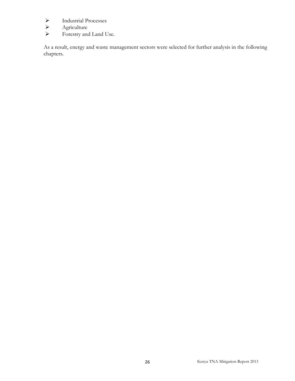- > Industrial Processes<br>> Agriculture
- Agriculture<br>  $\triangleright$  Agriculture
- Forestry and Land Use.

As a result, energy and waste management sectors were selected for further analysis in the following chapters.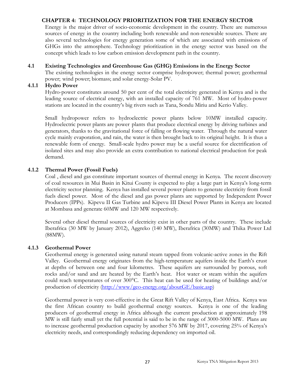### **CHAPTER 4: TECHNOLOGY PRIORITIZATION FOR THE ENERGY SECTOR**

<span id="page-34-0"></span>Energy is the major driver of socio-economic development in the country. There are numerous sources of energy in the country including both renewable and non-renewable sources. There are also several technologies for energy generation some of which are associated with emissions of GHGs into the atmosphere. Technology prioritization in the energy sector was based on the concept which leads to low carbon emission development path in the country.

### **4.1 Existing Technologies and Greenhouse Gas (GHG) Emissions in the Energy Sector**

<span id="page-34-1"></span>The existing technologies in the energy sector comprise hydropower; thermal power; geothermal power; wind power; biomass; and solar energy-Solar PV.

#### **4.1.1 Hydro Power**

<span id="page-34-2"></span>Hydro-power constitutes around 50 per cent of the total electricity generated in Kenya and is the leading source of electrical energy, with an installed capacity of 761 MW. Most of hydro-power stations are located in the country's big rivers such as Tana, Sondu Miriu and Kerio Valley.

Small hydropower refers to hydroelectric power plants below 10MW installed capacity. Hydroelectric power plants are power plants that produce electrical energy by driving turbines and generators, thanks to the gravitational force of falling or flowing water. Through the natural water cycle mainly evaporation, and rain, the water is then brought back to its original height. It is thus a renewable form of energy. Small-scale hydro power may be a useful source for electrification of isolated sites and may also provide an extra contribution to national electrical production for peak demand.

### **4.1.2 Thermal Power (Fossil Fuels)**

<span id="page-34-3"></span>Coal , diesel and gas constitute important sources of thermal energy in Kenya. The recent discovery of coal resources in Mui Basin in Kitui County is expected to play a large part in Kenya's long-term electricity sector planning. Kenya has installed several power plants to generate electricity from fossil fuels diesel power. Most of the diesel and gas power plants are supported by Independent Power Producers (IPPs). Kipevu II Gas Turbine and Kipevu III Diesel Power Plants in Kenya are located at Mombasa and generate 60MW and 120 MW respectively.

Several other diesel thermal sources of electricity exist in other parts of the country. These include Iberafrica (30 MW by January 2012), Aggreko (140 MW), Iberafrica (30MW) and Thika Power Ltd (88MW).

#### **4.1.3 Geothermal Power**

<span id="page-34-4"></span>Geothermal energy is generated using natural steam tapped from volcanic-active zones in the Rift Valley. Geothermal energy originates from the high-temperature aquifers inside the Earth's crust at depths of between one and four kilometres. These aquifers are surrounded by porous, soft rocks and/or sand and are heated by the Earth's heat. Hot water or steam within the aquifers could reach temperatures of over 300°C. This heat can be used for heating of buildings and/or production of electricity [\(http://www/geo-energy.org/aboutGE/basic.asp\)](http://www/geo-energy.org/aboutGE/basic.asp)

Geothermal power is very cost-effective in the Great Rift Valley of Kenya, East Africa. Kenya was the first African country to build geothermal energy sources. Kenya is one of the leading producers of geothermal energy in Africa although the current production at approximately 198 MW is still fairly small yet the full potential is said to be in the range of 3000-5000 MW. Plans are to increase geothermal production capacity by another 576 MW by 2017, covering 25% of Kenya's electricity needs, and correspondingly reducing dependency on imported oil.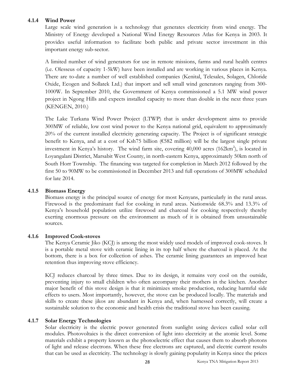#### **4.1.4 Wind Power**

<span id="page-35-0"></span>Large scale wind generation is a technology that generates electricity from wind energy. The Ministry of Energy developed a National Wind Energy Resources Atlas for Kenya in 2003. It provides useful information to facilitate both public and private sector investment in this important energy sub-sector.

A limited number of wind generators for use in remote missions, farms and rural health centres (i.e. Olesseus of capacity 1-5kW) have been installed and are working in various places in Kenya. There are to-date a number of well established companies (Kenital, Telesales, Solagen, Chloride Oxide, Ecogen and Sollatek Ltd.) that import and sell small wind generators ranging from 300- 1000W. In September 2010, the Government of Kenya commissioned a 5.1 MW wind power project in Ngong Hills and expects installed capacity to more than double in the next three years (KENGEN, 2010.)

The Lake Turkana Wind Power Project (LTWP) that is under development aims to provide 300MW of reliable, low cost wind power to the Kenya national grid, equivalent to approximately 20% of the current installed electricity generating capacity. The Project is of significant strategic benefit to Kenya, and at a cost of Ksh75 billion (€582 million) will be the largest single private investment in Kenya's history. The wind farm site, covering  $40,000$  acres  $(162 \text{km}^2)$ , is located in Loyangalani District, Marsabit West County, in north-eastern Kenya, approximately 50km north of South Horr Township. The financing was targeted for completion in March 2012 followed by the first 50 to 90MW to be commissioned in December 2013 and full operations of 300MW scheduled for late 2014.

#### **4.1.5 Biomass Energy**

<span id="page-35-1"></span>Biomass energy is the principal source of energy for most Kenyans, particularly in the rural areas. Firewood is the predominant fuel for cooking in rural areas. Nationwide 68.3% and 13.3% of Kenya's household population utilize firewood and charcoal for cooking respectively thereby exerting enormous pressure on the environment as much of it is obtained from unsustainable sources.

#### **4.1.6 Improved Cook-stoves**

<span id="page-35-2"></span>The Kenya Ceramic Jiko (KCJ) is among the most widely used models of improved cook-stoves. It is a portable metal stove with ceramic lining in its top half where the charcoal is placed. At the bottom, there is a box for collection of ashes. The ceramic lining guarantees an improved heat retention thus improving stove efficiency.

KCJ reduces charcoal by three times. Due to its design, it remains very cool on the outside, preventing injury to small children who often accompany their mothers in the kitchen. Another major benefit of this stove design is that it minimizes smoke production, reducing harmful side effects to users. Most importantly, however, the stove can be produced locally. The materials and skills to create these jikos are abundant in Kenya and, when harnessed correctly, will create a sustainable solution to the economic and health crisis the traditional stove has been causing.

# **4.1.7 Solar Energy Technologies**

<span id="page-35-3"></span>Solar electricity is the electric power generated from sunlight using devices called solar cell modules. Photovoltaics is the direct conversion of light into electricity at the atomic level. Some materials exhibit a property known as the photoelectric effect that causes them to absorb photons of light and release electrons. When these free electrons are captured, and electric current results that can be used as electricity. The technology is slowly gaining popularity in Kenya since the prices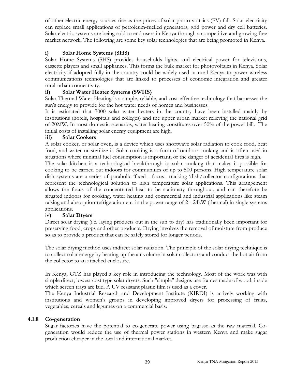of other electric energy sources rise as the prices of solar photo-voltaics (PV) fall. Solar electricity can replace small applications of petroleum-fuelled generators, grid power and dry cell batteries. Solar electric systems are being sold to end users in Kenya through a competitive and growing free market network. The following are some key solar technologies that are being promoted in Kenya.

# **i) Solar Home Systems (SHS)**

Solar Home Systems (SHS) provides households lights, and electrical power for televisions, cassette players and small appliances. This forms the bulk market for photovoltaics in Kenya. Solar electricity if adopted fully in the country could be widely used in rural Kenya to power wireless communications technologies that are linked to processes of economic integration and greater rural-urban connectivity.

### **ii) Solar Water Heater Systems (SWHS)**

Solar Thermal Water Heating is a simple, reliable, and cost-effective technology that harnesses the sun's energy to provide for the hot water needs of homes and businesses.

It is estimated that 7000 solar water heaters in the country have been installed mainly by institutions (hotels, hospitals and colleges) and the upper urban market relieving the national grid of 20MW. In most domestic scenarios, water heating constitutes over 50% of the power bill. The initial costs of installing solar energy equipment are high.

#### **iii) Solar Cookers**

A solar cooker, or solar oven, is a device which uses shortwave solar radiation to cook food, heat food, and water or sterilize it. Solar cooking is a form of outdoor cooking and is often used in situations where minimal fuel consumption is important, or the danger of accidental fires is high.

The solar kitchen is a technological breakthrough in solar cooking that makes it possible for cooking to be carried out indoors for communities of up to 500 persons. High temperature solar dish systems are a series of parabolic 'fixed - focus –tracking 'dish/collector configurations that represent the technological solution to high temperature solar applications. This arrangement allows the focus of the concentrated heat to be stationary throughout, and can therefore be situated indoors for cooking, water heating and commercial and industrial applications like steam raising and absorption refrigeration etc. in the power range of 2 - 24kW (thermal) in single systems applications.

# **iv) Solar Dryers**

Direct solar drying (i.e. laying products out in the sun to dry) has traditionally been important for preserving food, crops and other products. Drying involves the removal of moisture from produce so as to provide a product that can be safely stored for longer periods.

The solar drying method uses indirect solar radiation. The principle of the solar drying technique is to collect solar energy by heating-up the air volume in solar collectors and conduct the hot air from the collector to an attached enclosure.

In Kenya, GTZ has played a key role in introducing the technology. Most of the work was with simple direct, lowest cost type solar dryers. Such "simple" designs use frames made of wood, inside which screen trays are laid. A UV resistant plastic film is used as a cover.

The Kenya Industrial Research and Development Institute (KIRDI) is actively working with institutions and women's groups in developing improved dryers for processing of fruits, vegetables, cereals and legumes on a commercial basis.

#### **4.1.8 Co-generation**

<span id="page-36-0"></span>Sugar factories have the potential to co-generate power using bagasse as the raw material. Cogeneration would reduce the use of thermal power stations in western Kenya and make sugar production cheaper in the local and international market.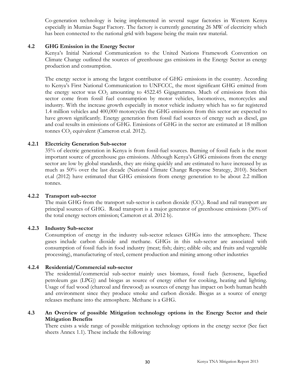Co-generation technology is being implemented in several sugar factories in Western Kenya especially in Mumias Sugar Factory. The factory is currently generating 26 MW of electricity which has been connected to the national grid with bagasse being the main raw material.

#### **4.2 GHG Emission in the Energy Sector**

<span id="page-37-0"></span>Kenya's Initial National Communication to the United Nations Framework Convention on Climate Change outlined the sources of greenhouse gas emissions in the Energy Sector as energy production and consumption.

The energy sector is among the largest contributor of GHG emissions in the country. According to Kenya's First National Communication to UNFCCC, the most significant GHG emitted from the energy sector was CO<sub>2</sub> amounting to 4522.45 Gigagrammes. Much of emissions from this sector come from fossil fuel consumption by motor vehicles, locomotives, motorcycles and industry. With the increase growth especially in motor vehicle industry which has so far registered 1.4 million vehicles and 400,000 motorcycles the GHG emissions from this sector are expected to have grown significantly. Energy generation from fossil fuel sources of energy such as diesel, gas and coal results in emissions of GHG. Emissions of GHG in the sector are estimated at 18 million tonnes  $CO<sub>2</sub>$  equivalent (Cameron et.al. 2012).

#### **4.2.1 Electricity Generation Sub-sector**

<span id="page-37-1"></span>35% of electric generation in Kenya is from fossil-fuel sources. Burning of fossil fuels is the most important source of greenhouse gas emissions. Although Kenya's GHG emissions from the energy sector are low by global standards, they are rising quickly and are estimated to have increased by as much as 50% over the last decade (National Climate Change Response Strategy, 2010). Stiebert et.al (2012) have estimated that GHG emissions from energy generation to be about 2.2 million tonnes.

#### **4.2.2 Transport sub-sector**

<span id="page-37-2"></span>The main GHG from the transport sub-sector is carbon dioxide  $(CO<sub>2</sub>)$ . Road and rail transport are principal sources of GHG. Road transport is a major generator of greenhouse emissions (30% of the total energy sectors emission; Cameron et al. 2012 b).

#### **4.2.3 Industry Sub-sector**

<span id="page-37-3"></span>Consumption of energy in the industry sub-sector releases GHGs into the atmosphere. These gases include carbon dioxide and methane. GHGs in this sub-sector are associated with consumption of fossil fuels in food industry (meat; fish; dairy; edible oils; and fruits and vegetable processing), manufacturing of steel, cement production and mining among other industries

#### **4.2.4 Residential/Commercial sub-sector**

<span id="page-37-4"></span>The residential/commercial sub-sector mainly uses biomass, fossil fuels (kerosene, liquefied petroleum gas (LPG)) and biogas as source of energy either for cooking, heating and lighting. Usage of fuel wood (charcoal and firewood) as sources of energy has impact on both human health and environment since they produce smoke and carbon dioxide. Biogas as a source of energy releases methane into the atmosphere. Methane is a GHG.

#### **4.3 An Overview of possible Mitigation technology options in the Energy Sector and their Mitigation Benefits**

<span id="page-37-5"></span>There exists a wide range of possible mitigation technology options in the energy sector (See fact sheets Annex 1.1). These include the following: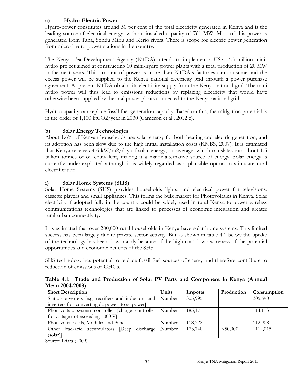# **a) Hydro-Electric Power**

Hydro-power constitutes around 50 per cent of the total electricity generated in Kenya and is the leading source of electrical energy, with an installed capacity of 761 MW. Most of this power is generated from Tana, Sondu Miriu and Kerio rivers. There is scope for electric power generation from micro-hydro-power stations in the country.

The Kenya Tea Development Agency (KTDA) intends to implement a US\$ 14.5 million minihydro project aimed at constructing 10 mini-hydro power plants with a total production of 20 MW in the next years. This amount of power is more than KTDA's factories can consume and the excess power will be supplied to the Kenya national electricity grid through a power purchase agreement. At present KTDA obtains its electricity supply from the Kenya national grid. The mini hydro power will thus lead to emissions reductions by replacing electricity that would have otherwise been supplied by thermal power plants connected to the Kenya national grid.

Hydro capacity can replace fossil fuel generation capacity. Based on this, the mitigation potential is in the order of 1,100 ktCO2/year in 2030 (Cameron et al., 2012 c).

# **b) Solar Energy Technologies**

About 1.6% of Kenyan households use solar energy for both heating and electric generation, and its adoption has been slow due to the high initial installation costs (KNBS, 2007). It is estimated that Kenya receives 4-6 kW/m2/day of solar energy, on average, which translates into about 1.5 billion tonnes of oil equivalent, making it a major alternative source of energy. Solar energy is currently under-exploited although it is widely regarded as a plausible option to stimulate rural electrification.

# **i) Solar Home Systems (SHS)**

Solar Home Systems (SHS) provides households lights, and electrical power for televisions, cassette players and small appliances. This forms the bulk market for Photovoltaics in Kenya. Solar electricity if adopted fully in the country could be widely used in rural Kenya to power wireless communications technologies that are linked to processes of economic integration and greater rural-urban connectivity.

It is estimated that over 200,000 rural households in Kenya have solar home systems. This limited success has been largely due to private sector activity. But as shown in table 4.1 below the uptake of the technology has been slow mainly because of the high cost, low awareness of the potential opportunities and economic benefits of the SHS.

SHS technology has potential to replace fossil fuel sources of energy and therefore contribute to reduction of emissions of GHGs.

<span id="page-38-0"></span>

| MCAIL 2004-2000 I                                             |        |         |            |             |
|---------------------------------------------------------------|--------|---------|------------|-------------|
| <b>Short Description</b>                                      | Units  | Imports | Production | Consumption |
| Static converters [e.g. rectifiers and inductors and   Number |        | 305,995 |            | 305,690     |
| inverters for converting dc power to ac power                 |        |         |            |             |
| Photovoltaic system controller [charge controller   Number    |        | 185,171 |            | 114,113     |
| for voltage not exceeding 1000 V]                             |        |         |            |             |
| Photovoltaic cells, Modules and Panels                        | Number | 118,322 |            | 112,908     |
| Other lead-acid accumulators Deep discharge Number            |        | 173,740 | < 50,000   | 1112,015    |
| $(solar)$ ]                                                   |        |         |            |             |
|                                                               |        |         |            |             |

**Table 4.1: Trade and Production of Solar PV Parts and Component in Kenya (Annual Mean 2004-2008)**

Source: Ikiara (2009)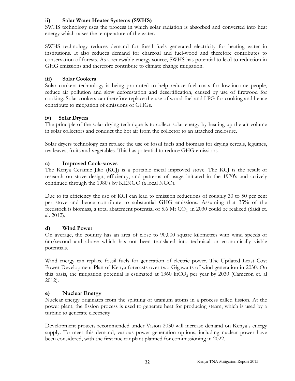# **ii) Solar Water Heater Systems (SWHS)**

SWHS technology uses the process in which solar radiation is absorbed and converted into heat energy which raises the temperature of the water.

SWHS technology reduces demand for fossil fuels generated electricity for heating water in institutions. It also reduces demand for charcoal and fuel-wood and therefore contributes to conservation of forests. As a renewable energy source, SWHS has potential to lead to reduction in GHG emissions and therefore contribute to climate change mitigation.

# **iii) Solar Cookers**

Solar cookers technology is being promoted to help reduce fuel costs for low-income people, reduce air pollution and slow deforestation and desertification, caused by use of firewood for cooking. Solar cookers can therefore replace the use of wood-fuel and LPG for cooking and hence contribute to mitigation of emissions of GHGs.

# **iv) Solar Dryers**

The principle of the solar drying technique is to collect solar energy by heating-up the air volume in solar collectors and conduct the hot air from the collector to an attached enclosure.

Solar dryers technology can replace the use of fossil fuels and biomass for drying cereals, legumes, tea leaves, fruits and vegetables. This has potential to reduce GHG emissions.

# **c) Improved Cook-stoves**

The Kenya Ceramic Jiko (KCJ) is a portable metal improved stove. The KCJ is the result of research on stove design, efficiency, and patterns of usage initiated in the 1970's and actively continued through the 1980's by KENGO (a local NGO).

Due to its efficiency the use of KCJ can lead to emission reductions of roughly 30 to 50 per cent per stove and hence contribute to substantial GHG emissions. Assuming that 35% of the feedstock is biomass, a total abatement potential of 5.6 Mt  $CO<sub>2</sub>$  in 2030 could be realized (Saidi et. al. 2012).

# **d) Wind Power**

On average, the country has an area of close to 90,000 square kilometres with wind speeds of 6m/second and above which has not been translated into technical or economically viable potentials.

Wind energy can replace fossil fuels for generation of electric power. The Updated Least Cost Power Development Plan of Kenya forecasts over two Gigawatts of wind generation in 2030. On this basis, the mitigation potential is estimated at  $1360 \text{ ktCO}_2$  per year by 2030 (Cameron et. al 2012).

# **e) Nuclear Energy**

Nuclear energy originates from the splitting of uranium atoms in a process called fission. At the power plant, the fission process is used to generate heat for producing steam, which is used by a turbine to generate electricity

Development projects recommended under Vision 2030 will increase demand on Kenya's energy supply. To meet this demand, various power generation options, including nuclear power have been considered, with the first nuclear plant planned for commissioning in 2022.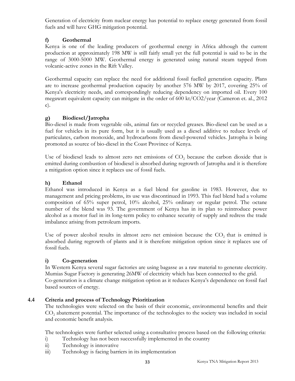Generation of electricity from nuclear energy has potential to replace energy generated from fossil fuels and will have GHG mitigation potential.

# **f) Geothermal**

Kenya is one of the leading producers of geothermal energy in Africa although the current production at approximately 198 MW is still fairly small yet the full potential is said to be in the range of 3000-5000 MW. Geothermal energy is generated using natural steam tapped from volcanic-active zones in the Rift Valley.

Geothermal capacity can replace the need for additional fossil fuelled generation capacity. Plans are to increase geothermal production capacity by another 576 MW by 2017, covering 25% of Kenya's electricity needs, and correspondingly reducing dependency on imported oil. Every 100 megawatt equivalent capacity can mitigate in the order of 600 kt/CO2/year (Cameron et. al., 2012 e).

# **g) Biodiesel/Jatropha**

Bio-diesel is made from vegetable oils, animal fats or recycled greases. Bio-diesel can be used as a fuel for vehicles in its pure form, but it is usually used as a diesel additive to reduce levels of particulates, carbon monoxide, and hydrocarbons from diesel-powered vehicles. Jatropha is being promoted as source of bio-diesel in the Coast Province of Kenya.

Use of biodiesel leads to almost zero net emissions of  $CO<sub>2</sub>$  because the carbon dioxide that is emitted during combustion of biodiesel is absorbed during regrowth of Jatropha and it is therefore a mitigation option since it replaces use of fossil fuels.

# **h) Ethanol**

Ethanol was introduced in Kenya as a fuel blend for gasoline in 1983. However, due to management and pricing problems, its use was discontinued in 1993. This fuel blend had a volume composition of 65% super petrol, 10% alcohol, 25% ordinary or regular petrol. The octane number of the blend was 93. The government of Kenya has in its plan to reintroduce power alcohol as a motor fuel in its long-term policy to enhance security of supply and redress the trade imbalance arising from petroleum imports.

Use of power alcohol results in almost zero net emission because the  $CO<sub>2</sub>$  that is emitted is absorbed during regrowth of plants and it is therefore mitigation option since it replaces use of fossil fuels.

# **i) Co-generation**

In Western Kenya several sugar factories are using bagasse as a raw material to generate electricity. Mumias Sugar Factory is generating 26MW of electricity which has been connected to the grid. Co-generation is a climate change mitigation option as it reduces Kenya's dependence on fossil fuel based sources of energy.

# **4.4 Criteria and process of Technology Prioritization**

<span id="page-40-0"></span>The technologies were selected on the basis of their economic, environmental benefits and their CO<sub>2</sub> abatement potential. The importance of the technologies to the society was included in social and economic benefit analysis.

The technologies were further selected using a consultative process based on the following criteria:

- i) Technology has not been successfully implemented in the country
- ii) Technology is innovative
- iii) Technology is facing barriers in its implementation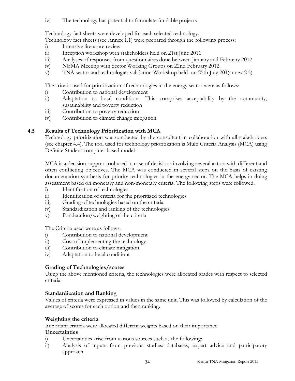iv) The technology has potential to formulate fundable projects

Technology fact sheets were developed for each selected technology.

Technology fact sheets (see Annex 1.1) were prepared through the following process:

- i) Intensive literature review
- ii) Inception workshop with stakeholders held on 21st June 2011
- iii) Analyses of responses from questionnaires done between January and February 2012
- iv) NEMA Meeting with Sector Working Groups on 22nd February 2012.
- v) TNA sector and technologies validation Workshop held on 25th July 201(annex 2.5)

The criteria used for prioritization of technologies in the energy sector were as follows:

- i) Contribution to national development
- ii) Adaptation to local conditions: This comprises acceptability by the community, sustainability and poverty reduction
- iii) Contribution to poverty reduction
- iv) Contribution to climate change mitigation

# **4.5 Results of Technology Prioritization with MCA**

<span id="page-41-0"></span>Technology prioritization was conducted by the consultant in collaboration with all stakeholders (see chapter 4.4). The tool used for technology prioritization is Multi Criteria Analysis (MCA) using Definite Student computer based model.

MCA is a decision support tool used in case of decisions involving several actors with different and often conflicting objectives. The MCA was conducted in several steps on the basis of existing documentation synthesis for priority technologies in the energy sector. The MCA helps in doing assessment based on monetary and non-monetary criteria. The following steps were followed.

- i) Identification of technologies
- ii) Identification of criteria for the prioritized technologies
- iii) Grading of technologies based on the criteria
- iv) Standardization and ranking of the technologies
- v) Ponderation/weighting of the criteria

The Criteria used were as follows:

- i) Contribution to national development
- ii) Cost of implementing the technology
- iii) Contribution to climate mitigation
- iv) Adaptation to local conditions

# **Grading of Technologies/scores**

Using the above mentioned criteria, the technologies were allocated grades with respect to selected criteria.

# **Standardization and Ranking**

Values of criteria were expressed in values in the same unit. This was followed by calculation of the average of scores for each option and then ranking.

# **Weighting the criteria**

Important criteria were allocated different weights based on their importance

# **Uncertainties**

- i) Uncertainties arise from various sources such as the following:
- ii) Analysis of inputs from previous studies: databases, expert advice and participatory approach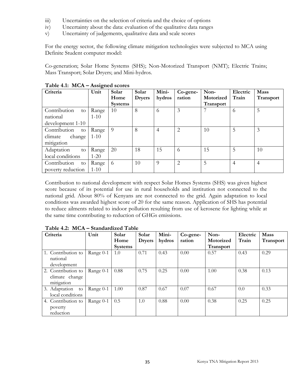- iii) Uncertainties on the selection of criteria and the choice of options
- iv) Uncertainty about the data: evaluation of the qualitative data ranges
- v) Uncertainty of judgements, qualitative data and scale scores

For the energy sector, the following climate mitigation technologies were subjected to MCA using Definite Student computer model:

Co-generation; Solar Home Systems (SHS); Non-Motorized Transport (NMT); Electric Trains; Mass Transport; Solar Dryers; and Mini-hydros.

| Criteria           | o<br>Unit | Solar          | Solar         | Mini-          | Co-gene-       | Non-      | Electric | <b>Mass</b>    |
|--------------------|-----------|----------------|---------------|----------------|----------------|-----------|----------|----------------|
|                    |           | Home           | <b>Dryers</b> | hydros         | ration         | Motorized | Train    | Transport      |
|                    |           | <b>Systems</b> |               |                |                | Transport |          |                |
| Contribution<br>to | Range     | 10             | 8             | 6              | 3              |           | 6        | 5              |
| national           | $1-10$    |                |               |                |                |           |          |                |
| development 1-10   |           |                |               |                |                |           |          |                |
| Contribution<br>to | Range     | 9              | 8             | $\overline{4}$ | $\overline{2}$ | 10        | 5        | 3              |
| change<br>climate  | $1 - 10$  |                |               |                |                |           |          |                |
| mitigation         |           |                |               |                |                |           |          |                |
| Adaptation<br>to   | Range     | 20             | 18            | 15             | 6              | 15        | 5        | 10             |
| local conditions   | $1 - 20$  |                |               |                |                |           |          |                |
| Contribution<br>to | Range     | -6             | 10            | 9              | $\overline{2}$ | 5         | 4        | $\overline{4}$ |
| poverty reduction  | $1 - 10$  |                |               |                |                |           |          |                |

#### <span id="page-42-0"></span>**Table 4.1: MCA – Assigned scores**

Contribution to national development with respect Solar Homes Systems (SHS) was given highest score because of its potential for use in rural households and institution not connected to the national grid. About 80% of Kenyans are not connected to the grid. Again adaptation to local conditions was awarded highest score of 20 for the same reason. Application of SHS has potential to reduce ailments related to indoor pollution resulting from use of kerosene for lighting while at the same time contributing to reduction of GHGs emissions.

| Criteria                                           | Unit      | Solar<br>Home  | Solar<br><b>Dryers</b> | Mini-<br>hydros | Co-gene-<br>ration | Non-<br>Motorized | Electric<br>Train | <b>Mass</b><br>Transport |
|----------------------------------------------------|-----------|----------------|------------------------|-----------------|--------------------|-------------------|-------------------|--------------------------|
|                                                    |           | <b>Systems</b> |                        |                 |                    | Transport         |                   |                          |
| 1. Contribution to<br>national<br>development      | Range 0-1 | 1.0            | 0.71                   | 0.43            | 0.00               | 0.57              | 0.43              | 0.29                     |
| 2. Contribution to<br>climate change<br>mitigation | Range 0-1 | 0.88           | 0.75                   | 0.25            | 0.00               | 1.00              | 0.38              | 0.13                     |
| 3. Adaptation<br>to<br>local conditions            | Range 0-1 | 1.00           | 0.87                   | 0.67            | 0.07               | 0.67              | 0.0               | 0.33                     |
| 4. Contribution to<br>poverty<br>reduction         | Range 0-1 | 0.5            | 1.0                    | 0.88            | 0.00               | 0.38              | 0.25              | 0.25                     |

#### <span id="page-42-1"></span>**Table 4.2: MCA – Standardized Table**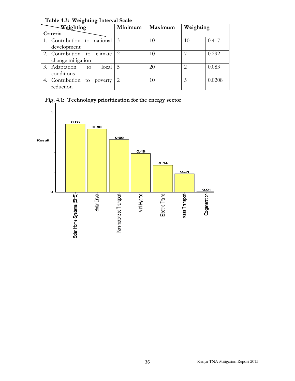| Weighting                      | Minimum       | Maximum | Weighting                     |        |
|--------------------------------|---------------|---------|-------------------------------|--------|
| Criteria                       |               |         |                               |        |
| 1. Contribution to national 3  |               | 10      | 10                            | 0.417  |
| development                    |               |         |                               |        |
| 2. Contribution to climate     | $\mathcal{L}$ | 10      |                               | 0.292  |
| change mitigation              |               |         |                               |        |
| 3. Adaptation<br>local 5<br>to |               | 20      | $\mathfrak{D}_{\mathfrak{p}}$ | 0.083  |
| conditions                     |               |         |                               |        |
| 4. Contribution to poverty     | $\mathcal{L}$ | 10      | 5                             | 0.0208 |
| reduction                      |               |         |                               |        |

<span id="page-43-0"></span>**Table 4.3: Weighting Interval Scale**

<span id="page-43-1"></span>

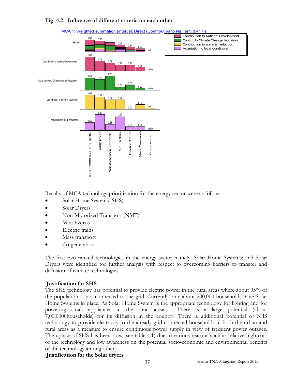#### **Fig. 4.2: Influence of different criteria on each other**



#### <span id="page-44-0"></span>MCA 1: Weighted summation {interval; Direct (Contribution to Na...ent: 0.417)}

Results of MCA technology prioritization for the energy sector were as follows:

- Solar Home Systems (SHS)
- Solar Dryers
- Non-Motorized Transport (NMT)
- Mini-hydros
- Electric trains
- Mass transport
- Co-generation

The first two ranked technologies in the energy sector namely: Solar Home Systems; and Solar Dryers were identified for further analysis with respect to overcoming barriers to transfer and diffusion of climate technologies.

#### **Justification for SHS**

The SHS technology has potential to provide electric power in the rural areas where about 95% of the population is not connected to the grid. Currently only about 200,000 households have Solar Home Systems in place. As Solar Home System is the appropriate technology for lighting and for powering small appliances in the rural areas. There is a large potential (about 7,000,000households) for its diffusion in the country. There is additional potential of SHS technology to provide electricity to the already grid connected households in both the urban and rural areas as a measure to ensure continuous power supply in view of frequent power outages. The uptake of SHS has been slow (see table 4.1) due to various reasons such as relative high cost of the technology and low awareness on the potential socio-economic and environmental benefits of the technology among others.

#### **Justification for the Solar dryers**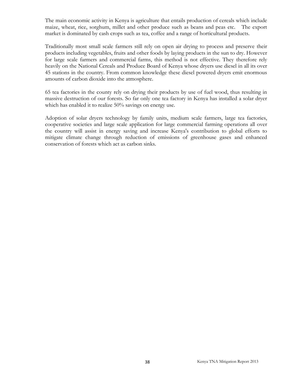The main economic activity in Kenya is agriculture that entails production of cereals which include maize, wheat, rice, sorghum, millet and other produce such as beans and peas etc. The export market is dominated by cash crops such as tea, coffee and a range of horticultural products.

Traditionally most small scale farmers still rely on open air drying to process and preserve their products including vegetables, fruits and other foods by laying products in the sun to dry. However for large scale farmers and commercial farms, this method is not effective. They therefore rely heavily on the National Cereals and Produce Board of Kenya whose dryers use diesel in all its over 45 stations in the country. From common knowledge these diesel powered dryers emit enormous amounts of carbon dioxide into the atmosphere.

65 tea factories in the county rely on drying their products by use of fuel wood, thus resulting in massive destruction of our forests. So far only one tea factory in Kenya has installed a solar dryer which has enabled it to realize 50% savings on energy use.

Adoption of solar dryers technology by family units, medium scale farmers, large tea factories, cooperative societies and large scale application for large commercial farming operations all over the country will assist in energy saving and increase Kenya's contribution to global efforts to mitigate climate change through reduction of emissions of greenhouse gases and enhanced conservation of forests which act as carbon sinks.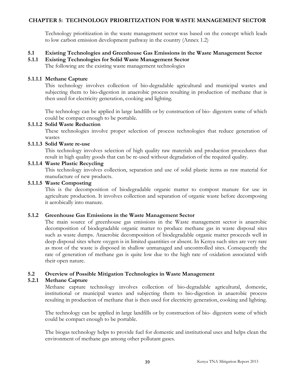#### **CHAPTER 5: TECHNOLOGY PRIORITIZATION FOR WASTE MANAGEMENT SECTOR**

<span id="page-46-1"></span><span id="page-46-0"></span>Technology prioritization in the waste management sector was based on the concept which leads to low carbon emission development pathway in the country (Annex 1.2)

#### **5.1 Existing Technologies and Greenhouse Gas Emissions in the Waste Management Sector**

#### **5.1.1 Existing Technologies for Solid Waste Management Sector**

<span id="page-46-2"></span>The following are the existing waste management technologies

#### **5.1.1.1 Methane Capture**

This technology involves collection of bio-degradable agricultural and municipal wastes and subjecting them to bio-digestion in anaerobic process resulting in production of methane that is then used for electricity generation, cooking and lighting.

The technology can be applied in large landfills or by construction of bio- digesters some of which could be compact enough to be portable.

#### **5.1.1.2 Solid Waste Reduction**

These technologies involve proper selection of process technologies that reduce generation of wastes

#### **5.1.1.3 Solid Waste re-use**

This technology involves selection of high quality raw materials and production procedures that result in high quality goods that can be re-used without degradation of the required quality.

#### **5.1.1.4 Waste Plastic Recycling**

This technology involves collection, separation and use of solid plastic items as raw material for manufacture of new products.

#### **5.1.1.5 Waste Composting**

This is the decomposition of biodegradable organic matter to compost manure for use in agriculture production. It involves collection and separation of organic waste before decomposing it aerobically into manure.

#### **5.1.2 Greenhouse Gas Emissions in the Waste Management Sector**

<span id="page-46-3"></span>The main source of greenhouse gas emissions in the Waste management sector is anaerobic decomposition of biodegradable organic matter to produce methane gas in waste disposal sites such as waste dumps. Anaerobic decomposition of biodegradable organic matter proceeds well in deep disposal sites where oxygen is in limited quantities or absent. In Kenya such sites are very rare as most of the waste is disposed in shallow unmanaged and uncontrolled sites. Consequently the rate of generation of methane gas is quite low due to the high rate of oxidation associated with their open nature.

#### **5.2 Overview of Possible Mitigation Technologies in Waste Management**

#### **5.2.1 Methane Capture**

<span id="page-46-5"></span><span id="page-46-4"></span>Methane capture technology involves collection of bio-degradable agricultural, domestic, institutional or municipal wastes and subjecting them to bio-digestion in anaerobic process resulting in production of methane that is then used for electricity generation, cooking and lighting.

The technology can be applied in large landfills or by construction of bio- digesters some of which could be compact enough to be portable.

The biogas technology helps to provide fuel for domestic and institutional uses and helps clean the environment of methane gas among other pollutant gases.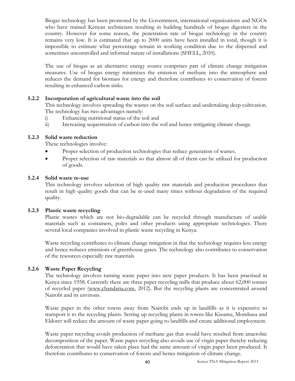Biogas technology has been promoted by the Government, international organizations and NGOs who have trained Kenyan technicians resulting in building hundreds of biogas digesters in the country. However for some reason, the penetration rate of biogas technology in the country remains very low. It is estimated that up to 2000 units have been installed in total, though it is impossible to estimate what percentage remain in working condition due to the dispersed and sometimes uncontrolled and informal nature of installations (SHELL, 2010).

The use of biogas as an alternative energy source comprises part of climate change mitigation measures. Use of biogas energy minimizes the emission of methane into the atmosphere and reduces the demand for biomass for energy and therefore contributes to conservation of forests resulting in enhanced carbon sinks.

#### **5.2.2 Incorporation of agricultural waste into the soil**

<span id="page-47-0"></span>This technology involves spreading the wastes on the soil surface and undertaking deep cultivation. The technology has two advantages namely:

- i) Enhancing nutritional status of the soil and
- ii) Increasing sequestration of carbon into the soil and hence mitigating climate change.

#### **5.2.3 Solid waste reduction**

<span id="page-47-1"></span>These technologies involve:

- Proper selection of production technologies that reduce generation of wastes.
- Proper selection of raw materials so that almost all of them can be utilized for production of goods.

#### **5.2.4 Solid waste re-use**

<span id="page-47-2"></span>This technology involves selection of high quality raw materials and production procedures that result in high quality goods that can be re-used many times without degradation of the required quality.

#### **5.2.5 Plastic waste recycling**

<span id="page-47-3"></span>Plastic wastes which are not bio-degradable can be recycled through manufacture of usable materials such as containers, poles and other products using appropriate technologies. There several local companies involved in plastic waste recycling in Kenya.

Waste recycling contributes to climate change mitigation in that the technology requires less energy and hence reduces emissions of greenhouse gases. The technology also contributes to conservation of the resources especially raw materials

#### **5.2.6 Waste Paper Recycling**

<span id="page-47-4"></span>The technology involves turning waste paper into new paper products. It has been practised in Kenya since 1958. Currently there are three paper recycling mills that produce about 62,000 tonnes of recycled paper [\(www.chandaria.com,](http://www.chandaria.com/) 2012). But the recycling plants are concentrated around Nairobi and its environs.

Waste paper in the other towns away from Nairobi ends up in landfills as it is expensive to transport it to the recycling plants. Setting up recycling plants in towns like Kisumu, Mombasa and Eldoret will reduce the amount of waste paper going to landfills and create additional employment.

Waste paper recycling avoids production of methane gas that would have resulted from anaerobic decomposition of the paper. Waste paper recycling also avoids use of virgin paper thereby reducing deforestation that would have taken place had the same amount of virgin paper been produced. It therefore contributes to conservation of forests and hence mitigation of climate change.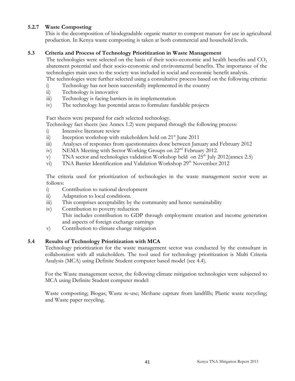### **5.2.7 Waste Composting**

<span id="page-48-0"></span>This is the decomposition of biodegradable organic matter to compost manure for use in agricultural production. In Kenya waste composting is taken at both commercial and household levels.

### **5.3 Criteria and Process of Technology Prioritization in Waste Management**

<span id="page-48-1"></span>The technologies were selected on the basis of their socio-economic and health benefits and  $CO<sub>2</sub>$ abatement potential and their socio-economic and environmental benefits. The importance of the technologies main uses to the society was included in social and economic benefit analysis. The technologies were further selected using a consultative process based on the following criteria:

- i) Technology has not been successfully implemented in the country
- ii) Technology is innovative
- iii) Technology is facing barriers in its implementation
- iv) The technology has potential areas to formulate fundable projects

Fact sheets were prepared for each selected technology.

Technology fact sheets (see Annex 1.2) were prepared through the following process:

- i) Intensive literature review
- ii) Inception workshop with stakeholders held on  $21<sup>st</sup>$  June 2011
- iii) Analyses of responses from questionnaires done between January and February 2012
- iv) NEMA Meeting with Sector Working Groups on 22<sup>nd</sup> February 2012.
- v) TNA sector and technologies validation Workshop held on  $25<sup>th</sup>$  July 2012(annex 2.5)
- vi) TNA Barrier Identification and Validation Workshop  $29<sup>th</sup>$  November 2012

The criteria used for prioritization of technologies in the waste management sector were as follows:

- i) Contribution to national development
- ii) Adaptation to local conditions.
- iii) This comprises acceptability by the community and hence sustainability
- iv) Contribution to poverty reduction This includes contribution to GDP through employment creation and income generation and aspects of foreign exchange earnings
- <span id="page-48-2"></span>v) Contribution to climate change mitigation

#### **5.4 Results of Technology Prioritization with MCA**

Technology prioritization for the waste management sector was conducted by the consultant in collaboration with all stakeholders. The tool used for technology prioritization is Multi Criteria Analysis (MCA) using Definite Student computer based model (see 4.4).

For the Waste management sector, the following climate mitigation technologies were subjected to MCA using Definite Student computer model:

Waste composting; Biogas; Waste re-use; Methane capture from landfills; Plastic waste recycling; and Waste paper recycling.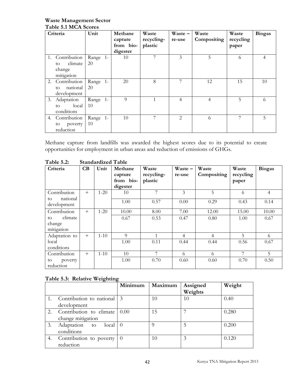#### <span id="page-49-0"></span>**Waste Management Sector Table 5.1 MCA Scores**

|    | Criteria                                              | Unit           | Methane<br>capture<br>from bio-<br>digester | Waste<br>recycling-<br>plastic | $Waste -$<br>re-use           | Waste<br>Compositing | Waste<br>recycling<br>paper | <b>Biogas</b> |
|----|-------------------------------------------------------|----------------|---------------------------------------------|--------------------------------|-------------------------------|----------------------|-----------------------------|---------------|
| 1. | Contribution<br>climate<br>to<br>change<br>mitigation | Range 1-<br>20 | 10                                          | 7                              | 3                             | 5                    | 6                           | 4             |
|    | 2. Contribution<br>national<br>to<br>development      | Range 1-<br>20 | 20                                          | 8                              | 7                             | 12                   | 15                          | 10            |
|    | 3. Adaptation<br>local<br>to<br>conditions            | Range 1-<br>10 | 9                                           | $\overline{1}$                 | 4                             | 4                    | 5.                          | 6             |
|    | 4. Contribution<br>poverty<br>to<br>reduction         | Range 1-<br>10 | 10                                          | 7                              | $\mathfrak{D}_{\mathfrak{p}}$ | 6                    |                             | 5             |

Methane capture from landfills was awarded the highest scores due to its potential to create opportunities for employment in urban areas and reduction of emissions of GHGs.

| Criteria                              | CB     | Unit     | Methane<br>capture<br>from bio-<br>digester | Waste<br>recycling-<br>plastic | $Waste -$<br>re-use | Waste<br>Compositing | Waste<br>recycling<br>paper | <b>Biogas</b>  |
|---------------------------------------|--------|----------|---------------------------------------------|--------------------------------|---------------------|----------------------|-----------------------------|----------------|
| Contribution                          | $^{+}$ | $1 - 20$ | 10                                          | 7                              | 3                   | 5                    | 6                           | $\overline{4}$ |
| national<br>to<br>development         |        |          | 1.00                                        | 0.57                           | 0.00                | 0.29                 | 0.43                        | 0.14           |
| Contribution                          | $^{+}$ | $1 - 20$ | 10.00                                       | 8.00                           | 7.00                | 12.00                | 15.00                       | 10.00          |
| climate<br>to<br>change<br>mitigation |        |          | 0.67                                        | 0.53                           | 0.47                | 0.80                 | 1.00                        | 0.67           |
| Adaptation to                         | $^{+}$ | $1 - 10$ | 9                                           |                                | $\overline{4}$      | $\overline{4}$       | 5                           | 6              |
| local<br>conditions                   |        |          | 1.00                                        | 0.11                           | 0.44                | 0.44                 | 0.56                        | 0.67           |
| Contribution                          | $^{+}$ | $1 - 10$ | 10                                          | 7                              | 6                   | 6                    | 7                           | $\overline{5}$ |
| poverty<br>to<br>reduction            |        |          | 1.00                                        | 0.70                           | 0.60                | 0.60                 | 0.70                        | 0.50           |

<span id="page-49-1"></span>**Table 5.2: Standardized Table**

### **Table 5.3: Relative Weighting**

<span id="page-49-2"></span>

|    |                             | Minimum          | Maximum  | Assigned<br>Weights | Weight |
|----|-----------------------------|------------------|----------|---------------------|--------|
|    | Contribution to national 3  |                  | 10       | 10                  | 0.40   |
|    | development                 |                  |          |                     |        |
| 2. | Contribution to climate     | 0.00             | 15       |                     | 0.280  |
|    | change mitigation           |                  |          |                     |        |
| 3. | Adaptation<br>local I<br>to | $\left( \right)$ | $\Omega$ | 5                   | 0.200  |
|    | conditions                  |                  |          |                     |        |
| 4. | Contribution to poverty     |                  | 10       | 3                   | 0.120  |
|    | reduction                   |                  |          |                     |        |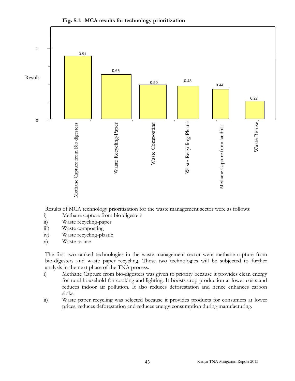

<span id="page-50-0"></span>**Fig. 5.1: MCA results for technology prioritization**

Results of MCA technology prioritization for the waste management sector were as follows:

- i) Methane capture from bio-digesters
- ii) Waste recycling-paper
- iii) Waste composting
- iv) Waste recycling-plastic
- v) Waste re-use

The first two ranked technologies in the waste management sector were methane capture from bio-digesters and waste paper recycling. These two technologies will be subjected to further analysis in the next phase of the TNA process.

- i) Methane Capture from bio-digesters was given to priority because it provides clean energy for rural household for cooking and lighting. It boosts crop production at lower costs and reduces indoor air pollution. It also reduces deforestation and hence enhances carbon sinks.
- ii) Waste paper recycling was selected because it provides products for consumers at lower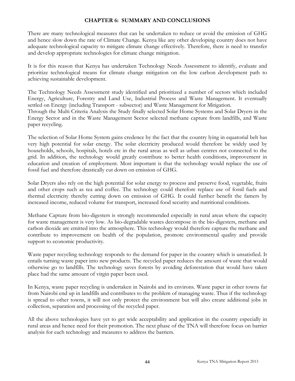#### <span id="page-51-0"></span>**CHAPTER 6: SUMMARY AND CONCLUSIONS**

There are many technological measures that can be undertaken to reduce or avoid the emission of GHG and hence slow down the rate of Climate Change. Kenya like any other developing country does not have adequate technological capacity to mitigate climate change effectively. Therefore, there is need to transfer and develop appropriate technologies for climate change mitigation.

It is for this reason that Kenya has undertaken Technology Needs Assessment to identify, evaluate and prioritize technological means for climate change mitigation on the low carbon development path to achieving sustainable development.

The Technology Needs Assessment study identified and prioritized a number of sectors which included Energy, Agriculture, Forestry and Land Use, Industrial Process and Waste Management. It eventually settled on Energy (including Transport - subsector) and Waste Management for Mitigation. Through the Multi Criteria Analysis the Study finally selected Solar Home Systems and Solar Dryers in the Energy Sector and in the Waste Management Sector selected methane capture from landfills, and Waste paper recycling.

The selection of Solar Home System gains credence by the fact that the country lying in equatorial belt has very high potential for solar energy. The solar electricity produced would therefore be widely used by households, schools, hospitals, hotels etc in the rural areas as well as urban centres not connected to the grid. In addition, the technology would greatly contribute to better health conditions, improvement in education and creation of employment. Most important is that the technology would replace the use of fossil fuel and therefore drastically cut down on emission of GHG.

Solar Dryers also rely on the high potential for solar energy to process and preserve food, vegetable, fruits and other crops such as tea and coffee. The technology could therefore replace use of fossil fuels and thermal electricity thereby cutting down on emission of GHG. It could further benefit the famers by increased income, reduced volume for transport, increased food security and nutritional conditions.

Methane Capture from bio-digesters is strongly recommended especially in rural areas where the capacity for waste management is very low. As bio-degradable wastes decompose in the bio-digesters, methane and carbon dioxide are emitted into the atmosphere. This technology would therefore capture the methane and contribute to improvement on health of the population, promote environmental quality and provide support to economic productivity.

Waste paper recycling technology responds to the demand for paper in the country which is unsatisfied. It entails turning waste paper into new products. The recycled paper reduces the amount of waste that would otherwise go to landfills. The technology saves forests by avoiding deforestation that would have taken place had the same amount of virgin paper been used.

In Kenya, waste paper recycling is undertaken in Nairobi and its environs. Waste paper in other towns far from Nairobi end up in landfills and contributes to the problem of managing waste. Thus if the technology is spread to other towns, it will not only protect the environment but will also create additional jobs in collection, separation and processing of the recycled paper.

All the above technologies have yet to get wide acceptability and application in the country especially in rural areas and hence need for their promotion. The next phase of the TNA will therefore focus on barrier analysis for each technology and measures to address the barriers.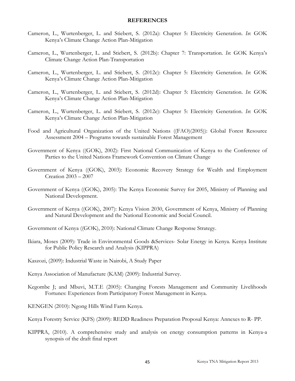#### <span id="page-52-0"></span>**REFERENCES**

- Cameron, L., Wurtenberger, L. and Stiebert, S. (2012a): Chapter 5: Electricity Generation. *In*: GOK Kenya's Climate Change Action Plan-Mitigation
- Cameron, L., Wurtenberger, L. and Stiebert, S. (2012b): Chapter 7: Transportation. *In*: GOK Kenya's Climate Change Action Plan-Transportation
- Cameron, L., Wurtenberger, L. and Stiebert, S. (2012c): Chapter 5: Electricity Generation. *In*: GOK Kenya's Climate Change Action Plan-Mitigation
- Cameron, L., Wurtenberger, L. and Stiebert, S. (2012d): Chapter 5: Electricity Generation. *In*: GOK Kenya's Climate Change Action Plan-Mitigation
- Cameron, L., Wurtenberger, L. and Stiebert, S. (2012e): Chapter 5: Electricity Generation. *In*: GOK Kenya's Climate Change Action Plan-Mitigation
- Food and Agricultural Organization of the United Nations ((FAO)(2005)): Global Forest Resource Assessment 2004 – Programs towards sustainable Forest Management
- Government of Kenya ((GOK), 2002): First National Communication of Kenya to the Conference of Parties to the United Nations Framework Convention on Climate Change
- Government of Kenya ((GOK), 2003): Economic Recovery Strategy for Wealth and Employment Creation 2003 – 2007
- Government of Kenya ((GOK), 2005): The Kenya Economic Survey for 2005, Ministry of Planning and National Development.
- Government of Kenya ((GOK), 2007): Kenya Vision 2030, Government of Kenya, Ministry of Planning and Natural Development and the National Economic and Social Council.
- Government of Kenya ((GOK), 2010): National Climate Change Response Strategy.
- Ikiara, Moses (2009): Trade in Environmental Goods &Services- Solar Energy in Kenya. Kenya Institute for Public Policy Research and Analysis (KIPPRA)
- Kaszozi, (2009): Industrial Waste in Nairobi, A Study Paper
- Kenya Association of Manufacture (KAM) (2009): Industrial Survey.
- Kegombe J; and Mbuvi, M.T.E (2005): Changing Forests Management and Community Livelihoods Fortunes: Experiences from Participatory Forest Management in Kenya.
- KENGEN (2010): Ngong Hills Wind Farm Kenya.
- Kenya Forestry Service (KFS) (2009): REDD Readiness Preparation Proposal Kenya: Annexes to R- PP.
- KIPPRA, (2010). A comprehensive study and analysis on energy consumption patterns in Kenya-a synopsis of the draft final report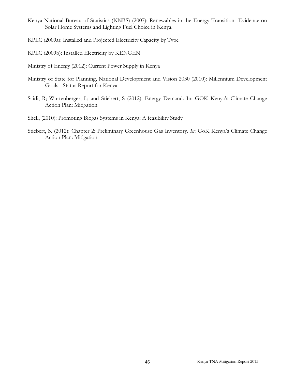- Kenya National Bureau of Statistics (KNBS) (2007): Renewables in the Energy Transition- Evidence on Solar Home Systems and Lighting Fuel Choice in Kenya.
- KPLC (2009a): Installed and Projected Electricity Capacity by Type
- KPLC (2009b): Installed Electricity by KENGEN
- Ministry of Energy (2012): Current Power Supply in Kenya
- Ministry of State for Planning, National Development and Vision 2030 (2010): Millennium Development Goals - Status Report for Kenya
- Saidi, R; Wurtenberger, L; and Stiebert, S (2012): Energy Demand. In: GOK Kenya's Climate Change Action Plan: Mitigation
- Shell, (2010): Promoting Biogas Systems in Kenya: A feasibility Study
- Stiebert, S. (2012): Chapter 2: Preliminary Greenhouse Gas Inventory. *In*: GoK Kenya's Climate Change Action Plan: Mitigation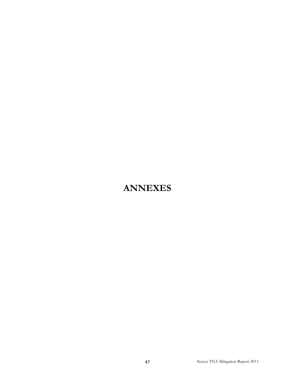# <span id="page-54-0"></span>**ANNEXES**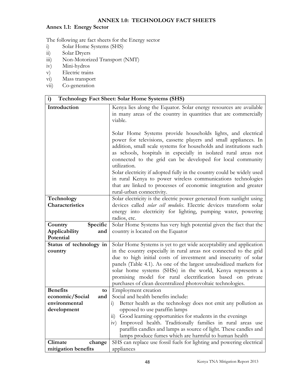#### <span id="page-55-1"></span><span id="page-55-0"></span>**ANNEX 1.0: TECHNOLOGY FACT SHEETS**

# **Annex 1.1: Energy Sector**

The following are fact sheets for the Energy sector

- i) Solar Home Systems (SHS)<br>ii) Solar Dryers
- ii) Solar Dryers<br>iii) Non-Motoriz
- Non-Motorized Transport (NMT)
- iv) Mini-hydros
- v) Electric trains
- vi) Mass transport
- vii) Co-generation

| i)                      | <b>Technology Fact Sheet: Solar Home Systems (SHS)</b>                                                                                                                                                                                                                                                                                                                                                                                                                                                                                                                                                                                                                                                                                                  |
|-------------------------|---------------------------------------------------------------------------------------------------------------------------------------------------------------------------------------------------------------------------------------------------------------------------------------------------------------------------------------------------------------------------------------------------------------------------------------------------------------------------------------------------------------------------------------------------------------------------------------------------------------------------------------------------------------------------------------------------------------------------------------------------------|
| Introduction            | Kenya lies along the Equator. Solar energy resources are available<br>in many areas of the country in quantities that are commercially<br>viable.<br>Solar Home Systems provide households lights, and electrical<br>power for televisions, cassette players and small appliances. In<br>addition, small scale systems for households and institutions such<br>as schools, hospitals in especially in isolated rural areas not<br>connected to the grid can be developed for local community<br>utilization.<br>Solar electricity if adopted fully in the country could be widely used<br>in rural Kenya to power wireless communications technologies<br>that are linked to processes of economic integration and greater<br>rural-urban connectivity. |
| Technology              | Solar electricity is the electric power generated from sunlight using                                                                                                                                                                                                                                                                                                                                                                                                                                                                                                                                                                                                                                                                                   |
| Characteristics         | devices called <i>solar cell modules</i> . Electric devices transform solar                                                                                                                                                                                                                                                                                                                                                                                                                                                                                                                                                                                                                                                                             |
|                         | energy into electricity for lighting, pumping water, powering                                                                                                                                                                                                                                                                                                                                                                                                                                                                                                                                                                                                                                                                                           |
|                         | radios, etc.                                                                                                                                                                                                                                                                                                                                                                                                                                                                                                                                                                                                                                                                                                                                            |
| Specific<br>Country     | Solar Home Systems has very high potential given the fact that the                                                                                                                                                                                                                                                                                                                                                                                                                                                                                                                                                                                                                                                                                      |
| Applicability<br>and    | country is located on the Equator                                                                                                                                                                                                                                                                                                                                                                                                                                                                                                                                                                                                                                                                                                                       |
| Potential               |                                                                                                                                                                                                                                                                                                                                                                                                                                                                                                                                                                                                                                                                                                                                                         |
| Status of technology in | Solar Home Systems is yet to get wide acceptability and application                                                                                                                                                                                                                                                                                                                                                                                                                                                                                                                                                                                                                                                                                     |
| country                 | in the country especially in rural areas not connected to the grid                                                                                                                                                                                                                                                                                                                                                                                                                                                                                                                                                                                                                                                                                      |
|                         | due to high initial costs of investment and insecurity of solar                                                                                                                                                                                                                                                                                                                                                                                                                                                                                                                                                                                                                                                                                         |
|                         | panels (Table 4.1). As one of the largest unsubsidized markets for<br>solar home systems (SHSs) in the world, Kenya represents a                                                                                                                                                                                                                                                                                                                                                                                                                                                                                                                                                                                                                        |
|                         | promising model for rural electrification based on private                                                                                                                                                                                                                                                                                                                                                                                                                                                                                                                                                                                                                                                                                              |
|                         | purchases of clean decentralized photovoltaic technologies.                                                                                                                                                                                                                                                                                                                                                                                                                                                                                                                                                                                                                                                                                             |
| <b>Benefits</b><br>to   | Employment creation                                                                                                                                                                                                                                                                                                                                                                                                                                                                                                                                                                                                                                                                                                                                     |
| economic/Social<br>and  | Social and health benefits include:                                                                                                                                                                                                                                                                                                                                                                                                                                                                                                                                                                                                                                                                                                                     |
| environmental           | Better health as the technology does not emit any pollution as<br>1)                                                                                                                                                                                                                                                                                                                                                                                                                                                                                                                                                                                                                                                                                    |
| development             | opposed to use paraffin lamps                                                                                                                                                                                                                                                                                                                                                                                                                                                                                                                                                                                                                                                                                                                           |
|                         | Good learning opportunities for students in the evenings<br>11)                                                                                                                                                                                                                                                                                                                                                                                                                                                                                                                                                                                                                                                                                         |
|                         | Improved health. Traditionally families in rural areas use<br>1V)                                                                                                                                                                                                                                                                                                                                                                                                                                                                                                                                                                                                                                                                                       |
|                         | paraffin candles and lamps as source of light. These candles and                                                                                                                                                                                                                                                                                                                                                                                                                                                                                                                                                                                                                                                                                        |
|                         | lamps produce fumes which are harmful to human health                                                                                                                                                                                                                                                                                                                                                                                                                                                                                                                                                                                                                                                                                                   |
| Climate<br>change       | SHS can replace use fossil fuels for lighting and powering electrical                                                                                                                                                                                                                                                                                                                                                                                                                                                                                                                                                                                                                                                                                   |
| mitigation benefits     | appliances                                                                                                                                                                                                                                                                                                                                                                                                                                                                                                                                                                                                                                                                                                                                              |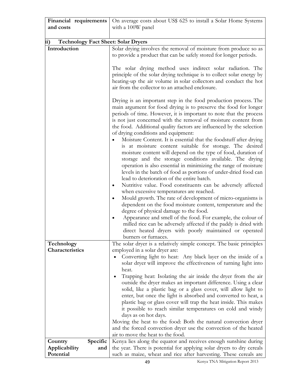| Financial requirements                            | On average costs about US\$ 625 to install a Solar Home Systems                                                                                                                                                                                                                                                                                                                                                                                                                                                                                                                                                                                                                                                                                                                                                                                                                                                    |
|---------------------------------------------------|--------------------------------------------------------------------------------------------------------------------------------------------------------------------------------------------------------------------------------------------------------------------------------------------------------------------------------------------------------------------------------------------------------------------------------------------------------------------------------------------------------------------------------------------------------------------------------------------------------------------------------------------------------------------------------------------------------------------------------------------------------------------------------------------------------------------------------------------------------------------------------------------------------------------|
| and costs                                         | with a 100W panel                                                                                                                                                                                                                                                                                                                                                                                                                                                                                                                                                                                                                                                                                                                                                                                                                                                                                                  |
|                                                   |                                                                                                                                                                                                                                                                                                                                                                                                                                                                                                                                                                                                                                                                                                                                                                                                                                                                                                                    |
| ii)<br><b>Technology Fact Sheet: Solar Dryers</b> |                                                                                                                                                                                                                                                                                                                                                                                                                                                                                                                                                                                                                                                                                                                                                                                                                                                                                                                    |
| Introduction                                      | Solar drying involves the removal of moisture from produce so as                                                                                                                                                                                                                                                                                                                                                                                                                                                                                                                                                                                                                                                                                                                                                                                                                                                   |
|                                                   | to provide a product that can be safely stored for longer periods.                                                                                                                                                                                                                                                                                                                                                                                                                                                                                                                                                                                                                                                                                                                                                                                                                                                 |
|                                                   | The solar drying method uses indirect solar radiation. The<br>principle of the solar drying technique is to collect solar energy by<br>heating-up the air volume in solar collectors and conduct the hot<br>air from the collector to an attached enclosure.                                                                                                                                                                                                                                                                                                                                                                                                                                                                                                                                                                                                                                                       |
|                                                   | Drying is an important step in the food production process. The<br>main argument for food drying is to preserve the food for longer<br>periods of time. However, it is important to note that the process<br>is not just concerned with the removal of moisture content from<br>the food. Additional quality factors are influenced by the selection<br>of drying conditions and equipment:<br>Moisture Content. It is essential that the foodstuff after drying<br>is at moisture content suitable for storage. The desired<br>moisture content will depend on the type of food, duration of<br>storage and the storage conditions available. The drying<br>operation is also essential in minimizing the range of moisture<br>levels in the batch of food as portions of under-dried food can<br>lead to deterioration of the entire batch.<br>Nutritive value. Food constituents can be adversely affected<br>٠ |
|                                                   | when excessive temperatures are reached.<br>Mould growth. The rate of development of micro-organisms is<br>٠<br>dependent on the food moisture content, temperature and the<br>degree of physical damage to the food.<br>Appearance and smell of the food. For example, the colour of<br>milled rice can be adversely affected if the paddy is dried with<br>direct heated dryers with poorly maintained or operated                                                                                                                                                                                                                                                                                                                                                                                                                                                                                               |
|                                                   | burners or furnaces.                                                                                                                                                                                                                                                                                                                                                                                                                                                                                                                                                                                                                                                                                                                                                                                                                                                                                               |
| Technology                                        | The solar dryer is a relatively simple concept. The basic principles                                                                                                                                                                                                                                                                                                                                                                                                                                                                                                                                                                                                                                                                                                                                                                                                                                               |
| Characteristics                                   | employed in a solar dryer are:<br>Converting light to heat: Any black layer on the inside of a<br>solar dryer will improve the effectiveness of turning light into<br>heat.                                                                                                                                                                                                                                                                                                                                                                                                                                                                                                                                                                                                                                                                                                                                        |
|                                                   | Trapping heat: Isolating the air inside the dryer from the air<br>outside the dryer makes an important difference. Using a clear<br>solid, like a plastic bag or a glass cover, will allow light to<br>enter, but once the light is absorbed and converted to heat, a<br>plastic bag or glass cover will trap the heat inside. This makes<br>it possible to reach similar temperatures on cold and windy<br>days as on hot days.<br>Moving the heat to the food: Both the natural convection dryer<br>and the forced convection dryer use the convection of the heated                                                                                                                                                                                                                                                                                                                                             |
|                                                   | air to move the heat to the food.                                                                                                                                                                                                                                                                                                                                                                                                                                                                                                                                                                                                                                                                                                                                                                                                                                                                                  |
| Specific<br>Country                               | Kenya lies along the equator and receives enough sunshine during                                                                                                                                                                                                                                                                                                                                                                                                                                                                                                                                                                                                                                                                                                                                                                                                                                                   |
| Applicability<br>and                              | the year. There is potential for applying solar dryers to dry cereals                                                                                                                                                                                                                                                                                                                                                                                                                                                                                                                                                                                                                                                                                                                                                                                                                                              |
| Potential                                         | such as maize, wheat and rice after harvesting. These cereals are                                                                                                                                                                                                                                                                                                                                                                                                                                                                                                                                                                                                                                                                                                                                                                                                                                                  |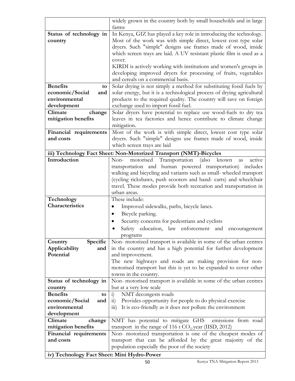|                                             | widely grown in the country both by small households and in large               |
|---------------------------------------------|---------------------------------------------------------------------------------|
|                                             | farms                                                                           |
| Status of technology in                     | In Kenya, GIZ has played a key role in introducing the technology.              |
| country                                     | Most of the work was with simple direct, lowest cost type solar                 |
|                                             | dryers. Such "simple" designs use frames made of wood, inside                   |
|                                             | which screen trays are laid. A UV resistant plastic film is used as a           |
|                                             | cover.                                                                          |
|                                             | KIRDI is actively working with institutions and women's groups in               |
|                                             | developing improved dryers for processing of fruits, vegetables                 |
|                                             | and cereals on a commercial basis.                                              |
| <b>Benefits</b><br>to                       | Solar drying is not simply a method for substituting fossil fuels by            |
| economic/Social<br>and                      | solar energy, but it is a technological process of drying agricultural          |
| environmental                               | products to the required quality. The country will save on foreign              |
| development                                 | exchange used to import fossil fuel.                                            |
| Climate<br>change                           | Solar dryers have potential to replace use wood-fuels to dry tea                |
| mitigation benefits                         | leaves in tea factories and hence contribute to climate change                  |
|                                             | mitigation.                                                                     |
|                                             | Most of the work is with simple direct, lowest cost type solar                  |
| Financial requirements<br>and costs         |                                                                                 |
|                                             | dryers. Such "simple" designs use frames made of wood, inside                   |
|                                             | which screen trays are laid                                                     |
|                                             | iii) Technology Fact Sheet: Non-Motorized Transport (NMT)-Bicycles              |
| Introduction                                | Transportation<br>motorised<br>Non-<br>(also<br>known<br>active<br>as           |
|                                             | transportation and human powered transportation) includes                       |
|                                             | walking and bicycling and variants such as small- wheeled transport             |
|                                             | (cycling rickshaws, push scooters and hand-carts) and wheelchair                |
|                                             | travel. These modes provide both recreation and transportation in               |
|                                             | urban areas.                                                                    |
| Technology                                  | These include:                                                                  |
| Characteristics                             | Improved sidewalks, paths, bicycle lanes.                                       |
|                                             | Bicycle parking.                                                                |
|                                             | Security concerns for pedestrians and cyclists                                  |
|                                             | Safety education, law enforcement and<br>encouragement                          |
|                                             | programs                                                                        |
| Specific<br>Country                         | Non- motorized transport is available in some of the urban centres              |
| Applicability<br>and                        | in the country and has a high potential for further development                 |
| Potential                                   | and improvement.                                                                |
|                                             | The new highways and roads are making provision for non-                        |
|                                             | motorised transport but this is yet to be expanded to cover other               |
|                                             | towns in the country.                                                           |
| Status of technology in                     | Non- motorised transport is available in some of the urban centres              |
| country                                     | but at a very low scale                                                         |
| <b>Benefits</b><br>to                       | NMT decongests roads<br>$\ddot{i}$                                              |
| economic/Social<br>and                      | Provides opportunity for people to do physical exercise<br>$\overline{11}$      |
| environmental                               | It is eco-friendly as it does not pollute the environment<br>$\overline{111}$ ) |
| development                                 |                                                                                 |
| Climate<br>change                           | NMT has potential to mitigate GHS<br>emissions from road                        |
| mitigation benefits                         | transport in the range of 116 t $CO2/year$ (IISD, 2012)                         |
| Financial requirements                      | Non- motorized transportation is one of the cheapest modes of                   |
| and costs                                   | transport that can be afforded by the great majority of the                     |
|                                             | population especially the poor of the society                                   |
|                                             |                                                                                 |
| iv) Technology Fact Sheet: Mini Hydro-Power |                                                                                 |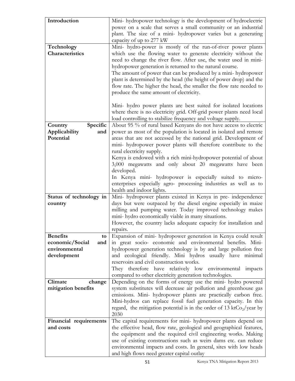| Introduction            |                                                                                   |
|-------------------------|-----------------------------------------------------------------------------------|
|                         | Mini-hydropower technology is the development of hydroelectric                    |
|                         | power on a scale that serves a small community or an industrial                   |
|                         | plant. The size of a mini- hydropower varies but a generating                     |
|                         | capacity of up to 277 kW                                                          |
| Technology              | Mini- hydro-power is mostly of the run-of-river power plants                      |
| Characteristics         | which use the flowing water to generate electricity without the                   |
|                         | need to change the river flow. After use, the water used in mini-                 |
|                         | hydropower generation is returned to the natural course.                          |
|                         | The amount of power that can be produced by a mini- hydropower                    |
|                         | plant is determined by the head (the height of power drop) and the                |
|                         | flow rate. The higher the head, the smaller the flow rate needed to               |
|                         | produce the same amount of electricity.                                           |
|                         |                                                                                   |
|                         | Mini- hydro power plants are best suited for isolated locations                   |
|                         | where there is no electricity grid. Off-grid power plants need local              |
|                         | load controlling to stabilize frequency and voltage supply.                       |
| Specific<br>Country     | About 95 % of rural based Kenyans do not have access to electric                  |
| Applicability<br>and    | power as most of the population is located in isolated and remote                 |
| Potential               | areas that are not accessed by the national grid. Development of                  |
|                         | mini- hydropower power plants will therefore contribute to the                    |
|                         | rural electricity supply.                                                         |
|                         | Kenya is endowed with a rich mini-hydropower potential of about                   |
|                         | 3,000 megawatts and only about 20 megawatts have been                             |
|                         | developed.                                                                        |
|                         | In Kenya mini- hydropower is especially suited to micro-                          |
|                         | enterprises especially agro- processing industries as well as to                  |
|                         | health and indoor lights.                                                         |
| Status of technology in | Mini- hydropower plants existed in Kenya in pre- independence                     |
| country                 | days but were outpaced by the diesel engine especially in maize                   |
|                         | milling and pumping water. Today improved technology makes                        |
|                         | mini- hydro economically viable in many situations.                               |
|                         | However, the country lacks adequate capacity for installation and                 |
|                         | repairs.                                                                          |
| <b>Benefits</b><br>to   | Expansion of mini- hydropower generation in Kenya could result                    |
| economic/Social<br>and  | in great socio- economic and environmental benefits. Mini-                        |
| environmental           | hydropower generation technology is by and large pollution free                   |
| development             | and ecological friendly. Mini hydros usually have minimal                         |
|                         | reservoirs and civil construction works.                                          |
|                         | They therefore have relatively low environmental impacts                          |
|                         | compared to other electricity generation technologies.                            |
| Climate<br>change       | Depending on the forms of energy use the mini- hydro powered                      |
| mitigation benefits     | system substitutes will decrease air pollution and greenhouse gas                 |
|                         | emissions. Mini- hydropower plants are practically carbon free.                   |
|                         |                                                                                   |
|                         | Mini-hydros can replace fossil fuel generation capacity. In this                  |
|                         | regard, the mitigation potential is in the order of 13 ktCo <sub>2</sub> /year by |
|                         | 2030                                                                              |
| Financial requirements  | The capital requirements for mini- hydropower plants depend on                    |
| and costs               | the effective head, flow rate, geological and geographical features,              |
|                         | the equipment and the required civil engineering works. Making                    |
|                         | use of existing constructions such as weirs dams etc. can reduce                  |
|                         | environmental impacts and costs. In general, sites with low heads                 |
|                         | and high flows need greater capital outlay                                        |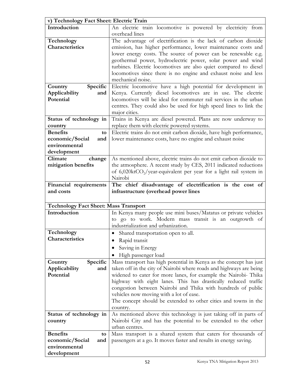| v) Technology Fact Sheet: Electric Train     |                                                                                                                                   |  |
|----------------------------------------------|-----------------------------------------------------------------------------------------------------------------------------------|--|
| Introduction                                 | An electric train locomotive is powered by electricity from                                                                       |  |
|                                              | overhead lines                                                                                                                    |  |
| Technology                                   | The advantage of electrification is the lack of carbon dioxide                                                                    |  |
| Characteristics                              | emission, has higher performance, lower maintenance costs and                                                                     |  |
|                                              | lower energy costs. The source of power can be renewable e.g.                                                                     |  |
|                                              | geothermal power, hydroelectric power, solar power and wind                                                                       |  |
|                                              | turbines. Electric locomotives are also quiet compared to diesel                                                                  |  |
|                                              | locomotives since there is no engine and exhaust noise and less                                                                   |  |
|                                              | mechanical noise.                                                                                                                 |  |
| Specific<br>Country                          | Electric locomotive have a high potential for development in                                                                      |  |
| Applicability<br>and                         | Kenya. Currently diesel locomotives are in use. The electric                                                                      |  |
| Potential                                    | locomotives will be ideal for commuter rail services in the urban                                                                 |  |
|                                              | centres. They could also be used for high speed lines to link the                                                                 |  |
|                                              | major cities.                                                                                                                     |  |
| Status of technology in                      | Trains in Kenya are diesel powered. Plans are now underway to<br>replace them with electric powered systems.                      |  |
| country<br><b>Benefits</b><br>to             | Electric trains do not emit carbon dioxide, have high performance,                                                                |  |
| economic/Social<br>and                       | lower maintenance costs, have no engine and exhaust noise                                                                         |  |
| environmental                                |                                                                                                                                   |  |
| development                                  |                                                                                                                                   |  |
| Climate<br>change                            | As mentioned above, electric trains do not emit carbon dioxide to                                                                 |  |
| mitigation benefits                          | the atmosphere. A recent study by CES, 2011 indicated reductions                                                                  |  |
|                                              | of 6,020ktCO <sub>2</sub> /year-equivalent per year for a light rail system in                                                    |  |
|                                              | Nairobi                                                                                                                           |  |
| Financial requirements                       | The chief disadvantage of electrification is the cost of                                                                          |  |
|                                              |                                                                                                                                   |  |
| and costs                                    | infrastructure (overhead power lines                                                                                              |  |
|                                              |                                                                                                                                   |  |
| <b>Technology Fact Sheet: Mass Transport</b> |                                                                                                                                   |  |
| Introduction                                 | In Kenya many people use mini buses/Matatus or private vehicles                                                                   |  |
|                                              | to go to work. Modern mass transit is an outgrowth of                                                                             |  |
|                                              | industrialization and urbanization.                                                                                               |  |
| Technology                                   | Shared transportation open to all.                                                                                                |  |
| Characteristics                              | Rapid transit                                                                                                                     |  |
|                                              |                                                                                                                                   |  |
|                                              | Saving in Energy                                                                                                                  |  |
|                                              | High passenger load                                                                                                               |  |
| Specific<br>Country                          | Mass transport has high potential in Kenya as the concept has just                                                                |  |
| Applicability<br>and<br>Potential            | taken off in the city of Nairobi where roads and highways are being                                                               |  |
|                                              | widened to cater for more lanes, for example the Nairobi- Thika<br>highway with eight lanes. This has drastically reduced traffic |  |
|                                              | congestion between Nairobi and Thika with hundreds of public                                                                      |  |
|                                              | vehicles now moving with a lot of ease.                                                                                           |  |
|                                              | The concept should be extended to other cities and towns in the                                                                   |  |
|                                              | country.                                                                                                                          |  |
| Status of technology in                      | As mentioned above this technology is just taking off in parts of                                                                 |  |
| country                                      | Nairobi City and has the potential to be extended to the other                                                                    |  |
|                                              | urban centres.                                                                                                                    |  |
| <b>Benefits</b><br>to                        | Mass transport is a shared system that caters for thousands of                                                                    |  |
| economic/Social<br>and                       | passengers at a go. It moves faster and results in energy saving.                                                                 |  |
| environmental<br>development                 |                                                                                                                                   |  |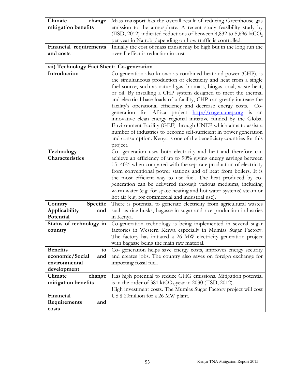| Climate<br>change                         | Mass transport has the overall result of reducing Greenhouse gas              |
|-------------------------------------------|-------------------------------------------------------------------------------|
| mitigation benefits                       | emission to the atmosphere. A recent study feasibility study by               |
|                                           | (IISD, 2012) indicated reductions of between 4,832 to 5,696 ktCO <sub>2</sub> |
|                                           | per year in Nairobi depending on how traffic is controlled.                   |
| Financial requirements                    | Initially the cost of mass transit may be high but in the long run the        |
| and costs                                 | overall effect is reduction in cost.                                          |
|                                           |                                                                               |
| vii) Technology Fact Sheet: Co-generation |                                                                               |
| Introduction                              | Co-generation also known as combined heat and power (CHP), is                 |
|                                           | the simultaneous production of electricity and heat from a single             |
|                                           | fuel source, such as natural gas, biomass, biogas, coal, waste heat,          |
|                                           | or oil. By installing a CHP system designed to meet the thermal               |
|                                           | and electrical base loads of a facility, CHP can greatly increase the         |
|                                           | facility's operational efficiency and decrease energy costs. Co-              |
|                                           | generation for Africa project http://cogen.unep.org is an                     |
|                                           | innovative clean energy regional initiative funded by the Global              |
|                                           | Environment Facility (GEF) through UNEP which aims to assist a                |
|                                           | number of industries to become self-sufficient in power generation            |
|                                           | and consumption. Kenya is one of the beneficiary countries for this           |
|                                           | project.                                                                      |
| Technology                                | Co- generation uses both electricity and heat and therefore can               |
| Characteristics                           | achieve an efficiency of up to 90% giving energy savings between              |
|                                           | 15-40% when compared with the separate production of electricity              |
|                                           | from conventional power stations and of heat from boilers. It is              |
|                                           | the most efficient way to use fuel. The heat produced by co-                  |
|                                           | generation can be delivered through various mediums, including                |
|                                           | warm water (e.g. for space heating and hot water systems) steam or            |
|                                           | hot air (e.g. for commercial and industrial use).                             |
| Specific<br>Country                       | There is potential to generate electricity from agricultural wastes           |
| Applicability<br>and                      | such as rice husks, bagasse in sugar and rice production industries           |
| Potential                                 | in Kenya.                                                                     |
| Status of technology in                   | Co-generation technology is being implemented in several sugar                |
| country                                   | factories in Western Kenya especially in Mumias Sugar Factory.                |
|                                           | The factory has initiated a 26 MW electricity generation project              |
|                                           | with bagasse being the main raw material.                                     |
| <b>Benefits</b><br>to                     | Co- generation helps save energy costs, improves energy security              |
| economic/Social<br>and                    | and creates jobs. The country also saves on foreign exchange for              |
| environmental                             | importing fossil fuel.                                                        |
| development                               |                                                                               |
| Climate<br>change                         | Has high potential to reduce GHG emissions. Mitigation potential              |
| mitigation benefits                       | is in the order of 381 ktCO <sub>2/</sub> year in 2030 (IISD, 2012).          |
|                                           | High investment costs. The Mumias Sugar Factory project will cost             |
| Financial                                 | US \$20 million for a 26 MW plant.                                            |
| Requirements<br>and                       |                                                                               |
| costs                                     |                                                                               |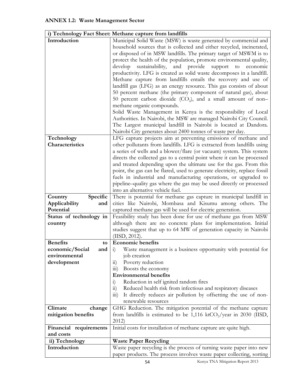<span id="page-61-0"></span>

|                         | i) Technology Fact Sheet: Methane capture from landfills                                                                                     |
|-------------------------|----------------------------------------------------------------------------------------------------------------------------------------------|
| Introduction            | Municipal Solid Waste (MSW) is waste generated by commercial and                                                                             |
|                         | household sources that is collected and either recycled, incinerated,                                                                        |
|                         | or disposed of in MSW landfills. The primary target of MSWM is to                                                                            |
|                         | protect the health of the population, promote environmental quality,                                                                         |
|                         | sustainability,<br>and provide<br>develop<br>support<br>to<br>economic                                                                       |
|                         | productivity. LFG is created as solid waste decomposes in a landfill.                                                                        |
|                         | Methane capture from landfills entails the recovery and use of                                                                               |
|                         | landfill gas (LFG) as an energy resource. This gas consists of about                                                                         |
|                         | 50 percent methane (the primary component of natural gas), about                                                                             |
|                         | 50 percent carbon dioxide $(CO_2)$ , and a small amount of non-                                                                              |
|                         | methane organic compounds.                                                                                                                   |
|                         | Solid Waste Management in Kenya is the responsibility of Local                                                                               |
|                         | Authorities. In Nairobi, the MSW are managed Nairobi City Council.                                                                           |
|                         | The Largest municipal landfill in Nairobi is located at Dandora.                                                                             |
|                         | Nairobi City generates about 2400 tonnes of waste per day.                                                                                   |
| Technology              | LFG capture projects aim at preventing emissions of methane and                                                                              |
| Characteristics         | other pollutants from landfills. LFG is extracted from landfills using                                                                       |
|                         | a series of wells and a blower/flare (or vacuum) system. This system                                                                         |
|                         | directs the collected gas to a central point where it can be processed                                                                       |
|                         | and treated depending upon the ultimate use for the gas. From this                                                                           |
|                         | point, the gas can be flared, used to generate electricity, replace fossil                                                                   |
|                         | fuels in industrial and manufacturing operations, or upgraded to                                                                             |
|                         | pipeline-quality gas where the gas may be used directly or processed                                                                         |
|                         | into an alternative vehicle fuel.                                                                                                            |
| Specific<br>Country     | There is potential for methane gas capture in municipal landfill in                                                                          |
|                         |                                                                                                                                              |
| Applicability<br>and    | cities like Nairobi, Mombasa and Kisumu among others. The                                                                                    |
| Potential               | captured methane gas will be used for electric generation.                                                                                   |
| Status of technology in | Feasibility study has been done for use of methane gas from MSW                                                                              |
| country                 | although there are no concrete plans for implementation. Initial                                                                             |
|                         | studies suggest that up to 64 MW of generation capacity in Nairobi                                                                           |
|                         | (IISD, 2012).                                                                                                                                |
| <b>Benefits</b><br>to   | <b>Economic benefits</b>                                                                                                                     |
| economic/Social<br>and  | Waste management is a business opportunity with potential for<br>1)                                                                          |
| environmental           | job creation                                                                                                                                 |
| development             | Poverty reduction<br>11)                                                                                                                     |
|                         | Boosts the economy<br>$\overline{111}$ )<br><b>Environmental benefits</b>                                                                    |
|                         | $\ddot{i}$                                                                                                                                   |
|                         | Reduction in self ignited random fires<br>Reduced health risk from infectious and respiratory diseases<br>$\overline{11}$                    |
|                         | It directly reduces air pollution by offsetting the use of non-<br>$\overline{111}$                                                          |
|                         | renewable resources                                                                                                                          |
| Climate<br>change       | GHG Reduction. The mitigation potential of the methane capture                                                                               |
| mitigation benefits     | from landfills is estimated to be 1,116 ktCO <sub>2</sub> /year in 2030 (IISD,                                                               |
|                         | 2012)                                                                                                                                        |
| Financial requirements  | Initial costs for installation of methane capture are quite high.                                                                            |
| and costs               |                                                                                                                                              |
| ii) Technology          | <b>Waste Paper Recycling</b>                                                                                                                 |
| Introduction            | Waste paper recycling is the process of turning waste paper into new<br>paper products. The process involves waste paper collecting, sorting |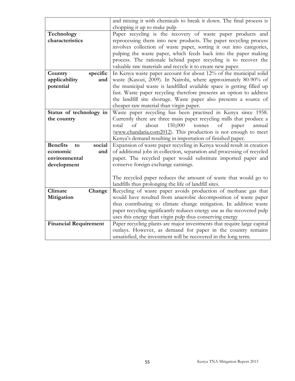|                              |          | and mixing it with chemicals to break it down. The final process is                                                                  |
|------------------------------|----------|--------------------------------------------------------------------------------------------------------------------------------------|
|                              |          | chopping it up to make pulp                                                                                                          |
| Technology                   |          | Paper recycling is the recovery of waste paper products and                                                                          |
| characteristics              |          | reprocessing them into new products. The paper recycling process                                                                     |
|                              |          | involves collection of waste paper, sorting it out into categories,                                                                  |
|                              |          | pulping the waste paper, which feeds back into the paper making                                                                      |
|                              |          | process. The rationale behind paper recycling is to recover the                                                                      |
|                              |          | valuable raw materials and recycle it to create new paper.                                                                           |
| Country                      | specific | In Kenya waste paper account for about 12% of the municipal solid                                                                    |
| applicability                | and      | waste (Kasozi, 2009). In Nairobi, where approximately 80-90% of                                                                      |
| potential                    |          | the municipal waste is landfilled available space is getting filled up                                                               |
|                              |          | fast. Waste paper recycling therefore presents an option to address                                                                  |
|                              |          | the landfill site shortage. Waste paper also presents a source of                                                                    |
|                              |          | cheaper raw material than virgin paper.                                                                                              |
| Status of technology in      |          | Waste paper recycling has been practised in Kenya since 1958.                                                                        |
| the country                  |          | Currently there are three main paper recycling mills that produce a                                                                  |
|                              |          | 150,000<br>about<br>total<br>of<br>tonnes<br>of<br>paper<br>annual                                                                   |
|                              |          | (www.chandaria.com2012). This production is not enough to meet                                                                       |
|                              |          | Kenya's demand resulting in importation of finished paper.                                                                           |
| <b>Benefits</b><br>to        | social   | Expansion of waste paper recycling in Kenya would result in creation                                                                 |
| economic                     | and      | of additional jobs in collection, separation and processing of recycled                                                              |
| environmental                |          | paper. The recycled paper would substitute imported paper and                                                                        |
| development                  |          | conserve foreign exchange earnings.                                                                                                  |
|                              |          |                                                                                                                                      |
|                              |          | The recycled paper reduces the amount of waste that would go to                                                                      |
|                              |          | landfills thus prolonging the life of landfill sites.                                                                                |
| Climate                      | Change   | Recycling of waste paper avoids production of methane gas that                                                                       |
| Mitigation                   |          | would have resulted from anaerobic decomposition of waste paper<br>thus contributing to climate change mitigation. In addition waste |
|                              |          |                                                                                                                                      |
|                              |          | paper recycling significantly reduces energy use as the recovered pulp<br>uses this energy than virgin pulp thus conserving energy   |
| <b>Financial Requirement</b> |          | Paper recycling plants are major investments that require large capital                                                              |
|                              |          |                                                                                                                                      |
|                              |          |                                                                                                                                      |
|                              |          | outlays. However, as demand for paper in the country remains<br>unsatisfied, the investment will be recovered in the long term.      |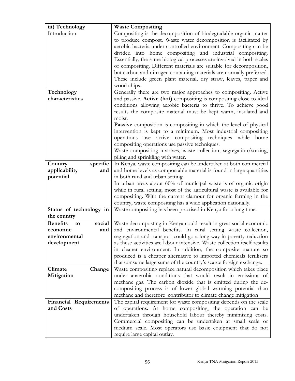| iii) Technology                 | <b>Waste Compositing</b>                                                  |
|---------------------------------|---------------------------------------------------------------------------|
| Introduction                    | Compositing is the decomposition of biodegradable organic matter          |
|                                 | to produce compost. Waste water decomposition is facilitated by           |
|                                 | aerobic bacteria under controlled environment. Compositing can be         |
|                                 | divided into home compositing and industrial compositing.                 |
|                                 | Essentially, the same biological processes are involved in both scales    |
|                                 | of compositing. Different materials are suitable for decomposition,       |
|                                 | but carbon and nitrogen containing materials are normally preferred.      |
|                                 | These include green plant material, dry straw, leaves, paper and          |
|                                 | wood chips.                                                               |
| Technology                      | Generally there are two major approaches to compositing. Active           |
| characteristics                 | and passive. Active (hot) compositing is compositing close to ideal       |
|                                 | conditions allowing aerobic bacteria to thrive. To achieve good           |
|                                 | results the composite material must be kept warm, insulated and           |
|                                 | moist.                                                                    |
|                                 | Passive composition is compositing in which the level of physical         |
|                                 | intervention is kept to a minimum. Most industrial compositing            |
|                                 | operations use active compositing techniques while home                   |
|                                 | compositing operations use passive techniques.                            |
|                                 | Waste compositing involves, waste collection, segregation/sorting,        |
|                                 | piling and sprinkling with water.                                         |
| Country<br>specific             | In Kenya, waste compositing can be undertaken at both commercial          |
| applicability<br>and            | and home levels as compostable material is found in large quantities      |
| potential                       | in both rural and urban setting.                                          |
|                                 | In urban areas about 60% of municipal waste is of organic origin          |
|                                 | while in rural setting, most of the agricultural waste is available for   |
|                                 | compositing. With the current clamour for organic farming in the          |
|                                 | country, waste compositing has a wide application nationally.             |
| Status of technology in         | Waste compositing has been practised in Kenya for a long time.            |
| the country                     |                                                                           |
| <b>Benefits</b><br>social<br>to | Waste decomposting in Kenya could result in great social economic         |
| economic<br>and                 | and environmental benefits. In rural setting waste collection,            |
| environmental                   | segregation and transport could go a long way in poverty reduction        |
| development                     | as these activities are labour intensive. Waste collection itself results |
|                                 | in cleaner environment. In addition, the composite manure so              |
|                                 | produced is a cheaper alternative to imported chemicals fertilisers       |
|                                 | that consume large sums of the country's scarce foreign exchange.         |
| Climate<br>Change               | Waste compositing replace natural decomposition which takes place         |
| Mitigation                      | under anaerobic conditions that would result in emissions of              |
|                                 | methane gas. The carbon dioxide that is emitted during the de-            |
|                                 | compositing process is of lower global warming potential than             |
|                                 | methane and therefore contributor to climate change mitigation            |
| <b>Financial Requirements</b>   | The capital requirement for waste compositing depends on the scale        |
| and Costs                       | of operations. At home compositing, the operation can be                  |
|                                 | undertaken through household labour thereby minimising costs.             |
|                                 | Commercial compositing can be undertaken at small scale or                |
|                                 | medium scale. Most operators use basic equipment that do not              |
|                                 | require large capital outlay.                                             |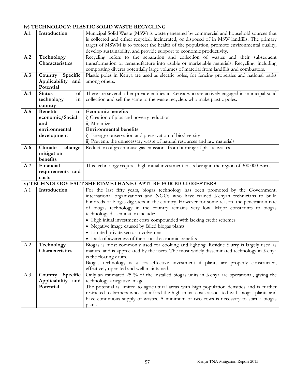# **iv) TECHNOLOGY: PLASTIC SOLID WASTE RECYCLING**

| A.1 | Introduction          | Municipal Solid Waste (MSW) is waste generated by commercial and household sources that          |
|-----|-----------------------|--------------------------------------------------------------------------------------------------|
|     |                       | is collected and either recycled, incinerated, or disposed of in MSW landfills. The primary      |
|     |                       | target of MSWM is to protect the health of the population, promote environmental quality,        |
|     |                       | develop sustainability, and provide support to economic productivity.                            |
| A.2 | Technology            | Recycling refers to the separation and collection of wastes and their subsequent                 |
|     | Characteristics       | transformation or remanufacture into usable or marketable materials. Recycling, including        |
|     |                       | composting diverts potentially large volumes of material from landfills and combustors.          |
| A.3 | Specific<br>Country   | Plastic poles in Kenya are used as electric poles, for fencing properties and national parks     |
|     | Applicability and     | among others.                                                                                    |
|     | Potential             |                                                                                                  |
| A.4 | <b>Status</b><br>of   | There are several other private entities in Kenya who are actively engaged in municipal solid    |
|     | technology<br>in      | collection and sell the same to the waste recyclers who make plastic poles.                      |
|     |                       |                                                                                                  |
|     | country               |                                                                                                  |
| A.5 | <b>Benefits</b><br>to | <b>Economic benefits</b>                                                                         |
|     | economic/Social       | i) Creation of jobs and poverty reduction                                                        |
|     | and                   | ii) Minimizes                                                                                    |
|     | environmental         | <b>Environmental benefits</b>                                                                    |
|     | development           | i) Energy conservation and preservation of biodiversity                                          |
|     |                       | ii) Prevents the unnecessary waste of natural resources and raw materials                        |
| A.6 | Climate<br>change     | Reduction of greenhouse gas emissions from burning of plastic wastes                             |
|     | mitigation            |                                                                                                  |
|     | benefits              |                                                                                                  |
| A.7 | Financial             | This technology requires high initial investment costs being in the region of 300,000 Euros      |
|     | requirements and      |                                                                                                  |
|     | costs                 |                                                                                                  |
|     |                       | v) TECHNOLOGY FACT SHEET:METHANE CAPTURE FOR BIO-DIGESTERS                                       |
| A.1 | Introduction          | For the last fifty years, biogas technology has been promoted by the Government,                 |
|     |                       | international organizations and NGOs who have trained Kenyan technicians to build                |
|     |                       | hundreds of biogas digesters in the country. However for some reason, the penetration rate       |
|     |                       |                                                                                                  |
|     |                       |                                                                                                  |
|     |                       | of biogas technology in the country remains very low. Major constraints to biogas                |
|     |                       | technology dissemination include:                                                                |
|     |                       | • High initial investment costs compounded with lacking credit schemes                           |
|     |                       | • Negative image caused by failed biogas plants                                                  |
|     |                       | • Limited private sector involvement                                                             |
|     |                       | • Lack of awareness of their social economic benefits                                            |
| A.2 | Technology            | Biogas is most commonly used for cooking and lighting. Residue Slurry is largely used as         |
|     | Characteristics       | manure and is appreciated by the users. The most widely disseminated technology in Kenya         |
|     |                       | is the floating drum.                                                                            |
|     |                       | Biogas technology is a cost-effective investment if plants are properly constructed,             |
|     |                       | effectively operated and well maintained.                                                        |
| A.3 | Country<br>Specific   | Only an estimated 25 % of the installed biogas units in Kenya are operational, giving the        |
|     | Applicability and     | technology a negative image.                                                                     |
|     | Potential             | The potential is limited to agricultural areas with high population densities and is further     |
|     |                       | restricted to farmers who can afford the high initial costs associated with biogas plants and    |
|     |                       |                                                                                                  |
|     |                       | have continuous supply of wastes. A minimum of two cows is necessary to start a biogas<br>plant. |

┑